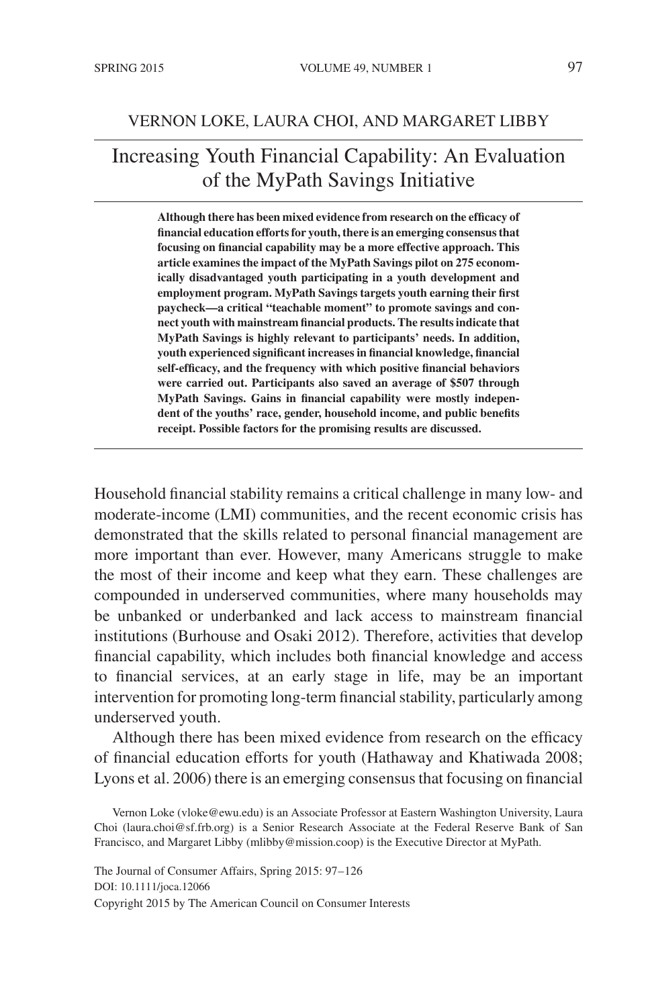### VERNON LOKE, LAURA CHOI, AND MARGARET LIBBY

# Increasing Youth Financial Capability: An Evaluation of the MyPath Savings Initiative

**Although there has been mixed evidence from research on the efficacy of financial education efforts for youth, there is an emerging consensus that focusing on financial capability may be a more effective approach. This article examines the impact of the MyPath Savings pilot on 275 economically disadvantaged youth participating in a youth development and employment program. MyPath Savings targets youth earning their first paycheck—a critical "teachable moment" to promote savings and connect youth with mainstream financial products. The results indicate that MyPath Savings is highly relevant to participants' needs. In addition, youth experienced significant increases in financial knowledge, financial self-efficacy, and the frequency with which positive financial behaviors were carried out. Participants also saved an average of \$507 through MyPath Savings. Gains in financial capability were mostly independent of the youths' race, gender, household income, and public benefits receipt. Possible factors for the promising results are discussed.**

Household financial stability remains a critical challenge in many low- and moderate-income (LMI) communities, and the recent economic crisis has demonstrated that the skills related to personal financial management are more important than ever. However, many Americans struggle to make the most of their income and keep what they earn. These challenges are compounded in underserved communities, where many households may be unbanked or underbanked and lack access to mainstream financial institutions (Burhouse and Osaki 2012). Therefore, activities that develop financial capability, which includes both financial knowledge and access to financial services, at an early stage in life, may be an important intervention for promoting long-term financial stability, particularly among underserved youth.

Although there has been mixed evidence from research on the efficacy of financial education efforts for youth (Hathaway and Khatiwada 2008; Lyons et al. 2006) there is an emerging consensus that focusing on financial

The Journal of Consumer Affairs, Spring 2015: 97–126 DOI: 10.1111/joca.12066 Copyright 2015 by The American Council on Consumer Interests

Vernon Loke (vloke@ewu.edu) is an Associate Professor at Eastern Washington University, Laura Choi (laura.choi@sf.frb.org) is a Senior Research Associate at the Federal Reserve Bank of San Francisco, and Margaret Libby (mlibby@mission.coop) is the Executive Director at MyPath.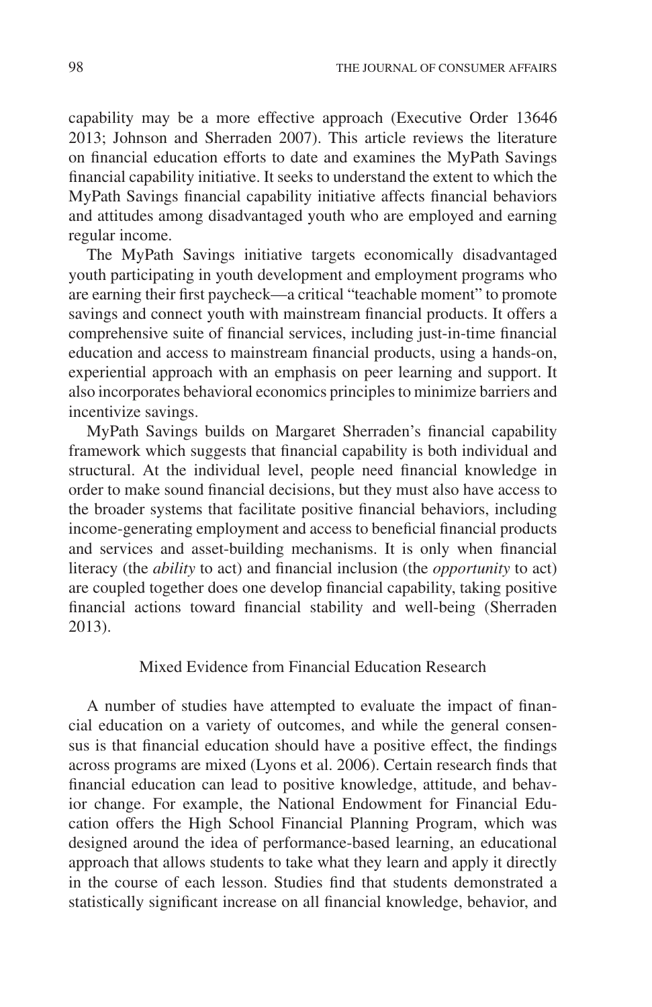capability may be a more effective approach (Executive Order 13646 2013; Johnson and Sherraden 2007). This article reviews the literature on financial education efforts to date and examines the MyPath Savings financial capability initiative. It seeks to understand the extent to which the MyPath Savings financial capability initiative affects financial behaviors and attitudes among disadvantaged youth who are employed and earning regular income.

The MyPath Savings initiative targets economically disadvantaged youth participating in youth development and employment programs who are earning their first paycheck—a critical "teachable moment" to promote savings and connect youth with mainstream financial products. It offers a comprehensive suite of financial services, including just-in-time financial education and access to mainstream financial products, using a hands-on, experiential approach with an emphasis on peer learning and support. It also incorporates behavioral economics principles to minimize barriers and incentivize savings.

MyPath Savings builds on Margaret Sherraden's financial capability framework which suggests that financial capability is both individual and structural. At the individual level, people need financial knowledge in order to make sound financial decisions, but they must also have access to the broader systems that facilitate positive financial behaviors, including income-generating employment and access to beneficial financial products and services and asset-building mechanisms. It is only when financial literacy (the *ability* to act) and financial inclusion (the *opportunity* to act) are coupled together does one develop financial capability, taking positive financial actions toward financial stability and well-being (Sherraden 2013).

### Mixed Evidence from Financial Education Research

A number of studies have attempted to evaluate the impact of financial education on a variety of outcomes, and while the general consensus is that financial education should have a positive effect, the findings across programs are mixed (Lyons et al. 2006). Certain research finds that financial education can lead to positive knowledge, attitude, and behavior change. For example, the National Endowment for Financial Education offers the High School Financial Planning Program, which was designed around the idea of performance-based learning, an educational approach that allows students to take what they learn and apply it directly in the course of each lesson. Studies find that students demonstrated a statistically significant increase on all financial knowledge, behavior, and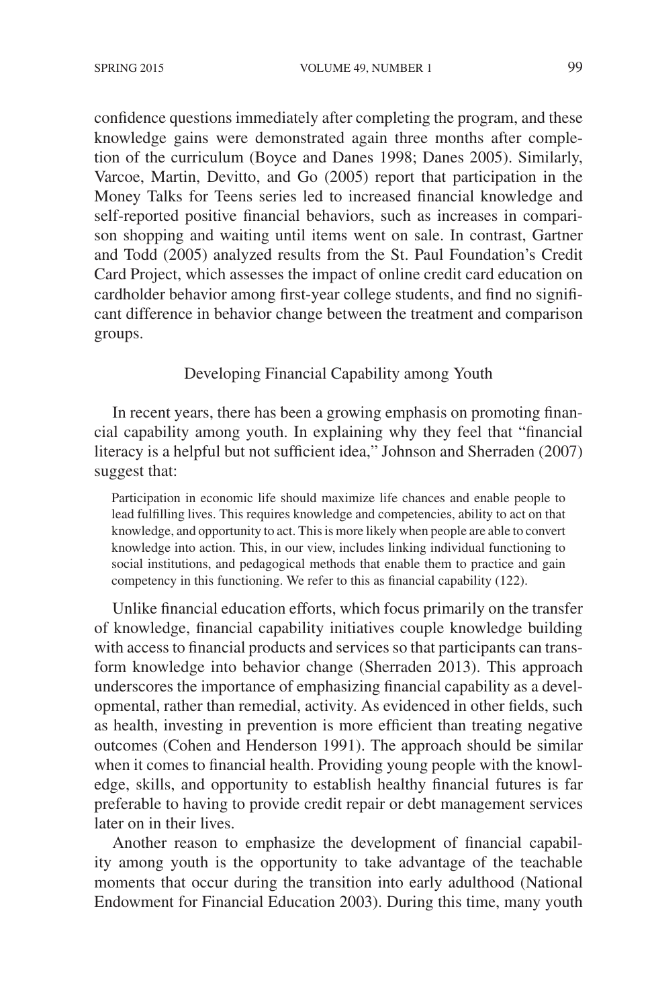confidence questions immediately after completing the program, and these knowledge gains were demonstrated again three months after completion of the curriculum (Boyce and Danes 1998; Danes 2005). Similarly, Varcoe, Martin, Devitto, and Go (2005) report that participation in the Money Talks for Teens series led to increased financial knowledge and self-reported positive financial behaviors, such as increases in comparison shopping and waiting until items went on sale. In contrast, Gartner and Todd (2005) analyzed results from the St. Paul Foundation's Credit Card Project, which assesses the impact of online credit card education on cardholder behavior among first-year college students, and find no significant difference in behavior change between the treatment and comparison groups.

Developing Financial Capability among Youth

In recent years, there has been a growing emphasis on promoting financial capability among youth. In explaining why they feel that "financial literacy is a helpful but not sufficient idea," Johnson and Sherraden (2007) suggest that:

Participation in economic life should maximize life chances and enable people to lead fulfilling lives. This requires knowledge and competencies, ability to act on that knowledge, and opportunity to act. This is more likely when people are able to convert knowledge into action. This, in our view, includes linking individual functioning to social institutions, and pedagogical methods that enable them to practice and gain competency in this functioning. We refer to this as financial capability (122).

Unlike financial education efforts, which focus primarily on the transfer of knowledge, financial capability initiatives couple knowledge building with access to financial products and services so that participants can transform knowledge into behavior change (Sherraden 2013). This approach underscores the importance of emphasizing financial capability as a developmental, rather than remedial, activity. As evidenced in other fields, such as health, investing in prevention is more efficient than treating negative outcomes (Cohen and Henderson 1991). The approach should be similar when it comes to financial health. Providing young people with the knowledge, skills, and opportunity to establish healthy financial futures is far preferable to having to provide credit repair or debt management services later on in their lives.

Another reason to emphasize the development of financial capability among youth is the opportunity to take advantage of the teachable moments that occur during the transition into early adulthood (National Endowment for Financial Education 2003). During this time, many youth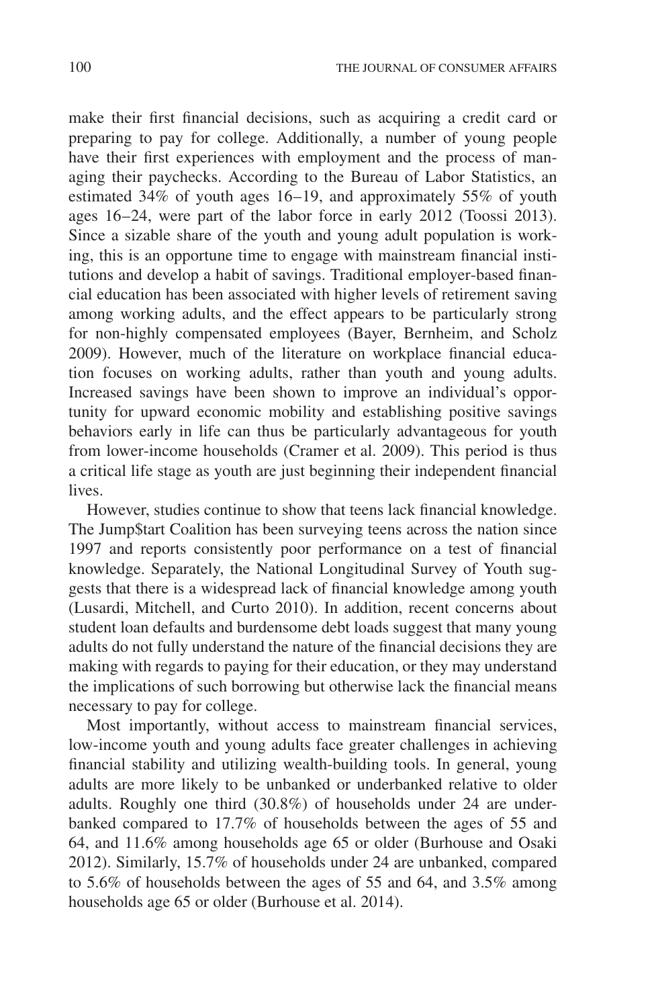make their first financial decisions, such as acquiring a credit card or preparing to pay for college. Additionally, a number of young people have their first experiences with employment and the process of managing their paychecks. According to the Bureau of Labor Statistics, an estimated 34% of youth ages 16–19, and approximately 55% of youth ages 16–24, were part of the labor force in early 2012 (Toossi 2013). Since a sizable share of the youth and young adult population is working, this is an opportune time to engage with mainstream financial institutions and develop a habit of savings. Traditional employer-based financial education has been associated with higher levels of retirement saving among working adults, and the effect appears to be particularly strong for non-highly compensated employees (Bayer, Bernheim, and Scholz 2009). However, much of the literature on workplace financial education focuses on working adults, rather than youth and young adults. Increased savings have been shown to improve an individual's opportunity for upward economic mobility and establishing positive savings behaviors early in life can thus be particularly advantageous for youth from lower-income households (Cramer et al. 2009). This period is thus a critical life stage as youth are just beginning their independent financial lives.

However, studies continue to show that teens lack financial knowledge. The Jump\$tart Coalition has been surveying teens across the nation since 1997 and reports consistently poor performance on a test of financial knowledge. Separately, the National Longitudinal Survey of Youth suggests that there is a widespread lack of financial knowledge among youth (Lusardi, Mitchell, and Curto 2010). In addition, recent concerns about student loan defaults and burdensome debt loads suggest that many young adults do not fully understand the nature of the financial decisions they are making with regards to paying for their education, or they may understand the implications of such borrowing but otherwise lack the financial means necessary to pay for college.

Most importantly, without access to mainstream financial services, low-income youth and young adults face greater challenges in achieving financial stability and utilizing wealth-building tools. In general, young adults are more likely to be unbanked or underbanked relative to older adults. Roughly one third (30.8%) of households under 24 are underbanked compared to 17.7% of households between the ages of 55 and 64, and 11.6% among households age 65 or older (Burhouse and Osaki 2012). Similarly, 15.7% of households under 24 are unbanked, compared to 5.6% of households between the ages of 55 and 64, and 3.5% among households age 65 or older (Burhouse et al. 2014).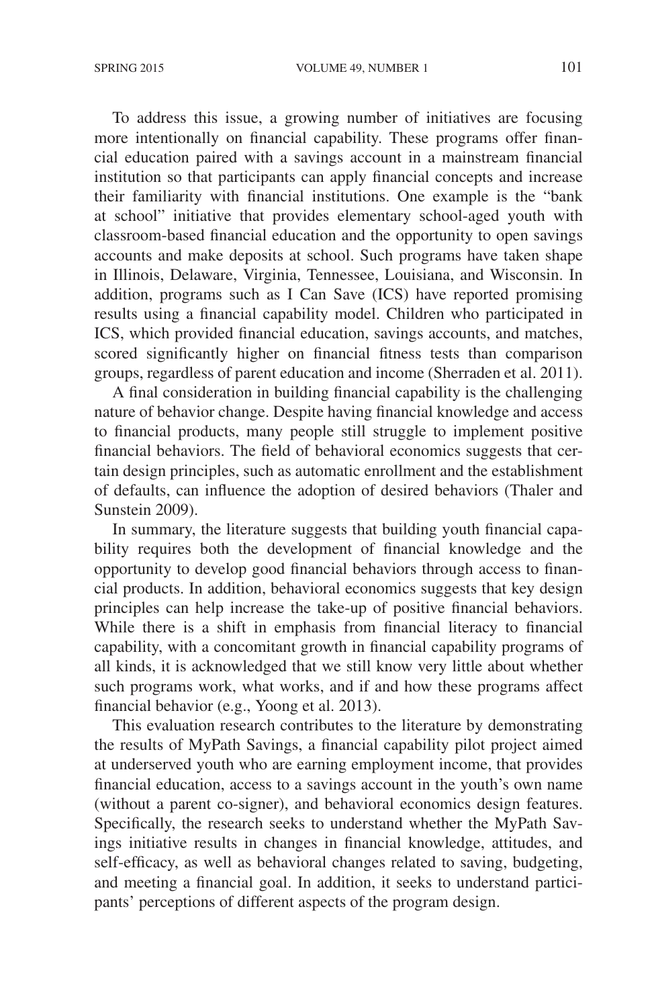To address this issue, a growing number of initiatives are focusing more intentionally on financial capability. These programs offer financial education paired with a savings account in a mainstream financial institution so that participants can apply financial concepts and increase their familiarity with financial institutions. One example is the "bank at school" initiative that provides elementary school-aged youth with classroom-based financial education and the opportunity to open savings accounts and make deposits at school. Such programs have taken shape in Illinois, Delaware, Virginia, Tennessee, Louisiana, and Wisconsin. In addition, programs such as I Can Save (ICS) have reported promising results using a financial capability model. Children who participated in ICS, which provided financial education, savings accounts, and matches, scored significantly higher on financial fitness tests than comparison groups, regardless of parent education and income (Sherraden et al. 2011).

A final consideration in building financial capability is the challenging nature of behavior change. Despite having financial knowledge and access to financial products, many people still struggle to implement positive financial behaviors. The field of behavioral economics suggests that certain design principles, such as automatic enrollment and the establishment of defaults, can influence the adoption of desired behaviors (Thaler and Sunstein 2009).

In summary, the literature suggests that building youth financial capability requires both the development of financial knowledge and the opportunity to develop good financial behaviors through access to financial products. In addition, behavioral economics suggests that key design principles can help increase the take-up of positive financial behaviors. While there is a shift in emphasis from financial literacy to financial capability, with a concomitant growth in financial capability programs of all kinds, it is acknowledged that we still know very little about whether such programs work, what works, and if and how these programs affect financial behavior (e.g., Yoong et al. 2013).

This evaluation research contributes to the literature by demonstrating the results of MyPath Savings, a financial capability pilot project aimed at underserved youth who are earning employment income, that provides financial education, access to a savings account in the youth's own name (without a parent co-signer), and behavioral economics design features. Specifically, the research seeks to understand whether the MyPath Savings initiative results in changes in financial knowledge, attitudes, and self-efficacy, as well as behavioral changes related to saving, budgeting, and meeting a financial goal. In addition, it seeks to understand participants' perceptions of different aspects of the program design.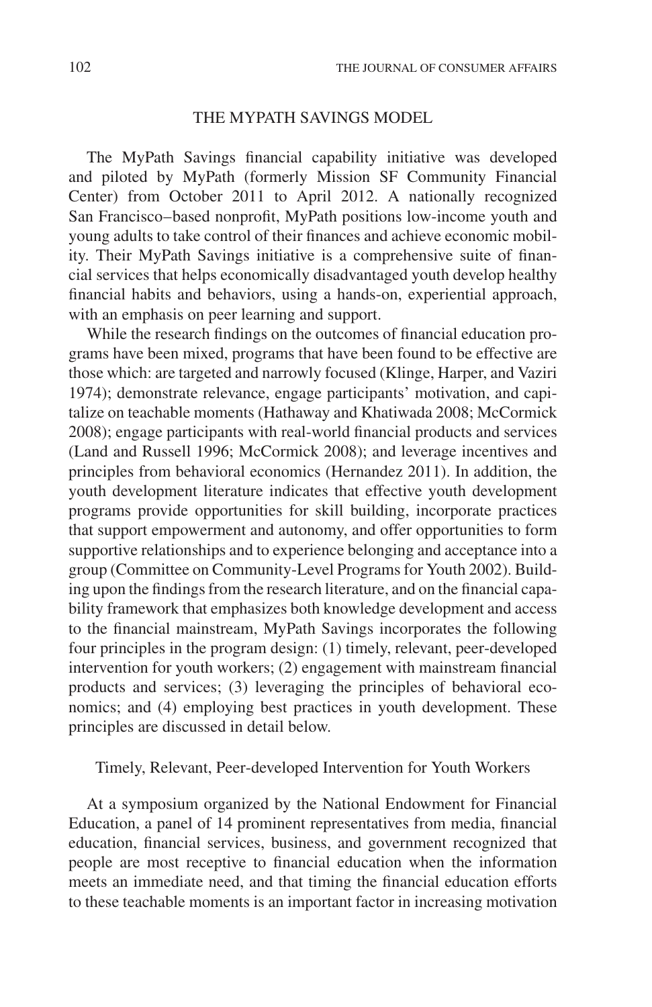# THE MYPATH SAVINGS MODEL

The MyPath Savings financial capability initiative was developed and piloted by MyPath (formerly Mission SF Community Financial Center) from October 2011 to April 2012. A nationally recognized San Francisco–based nonprofit, MyPath positions low-income youth and young adults to take control of their finances and achieve economic mobility. Their MyPath Savings initiative is a comprehensive suite of financial services that helps economically disadvantaged youth develop healthy financial habits and behaviors, using a hands-on, experiential approach, with an emphasis on peer learning and support.

While the research findings on the outcomes of financial education programs have been mixed, programs that have been found to be effective are those which: are targeted and narrowly focused (Klinge, Harper, and Vaziri 1974); demonstrate relevance, engage participants' motivation, and capitalize on teachable moments (Hathaway and Khatiwada 2008; McCormick 2008); engage participants with real-world financial products and services (Land and Russell 1996; McCormick 2008); and leverage incentives and principles from behavioral economics (Hernandez 2011). In addition, the youth development literature indicates that effective youth development programs provide opportunities for skill building, incorporate practices that support empowerment and autonomy, and offer opportunities to form supportive relationships and to experience belonging and acceptance into a group (Committee on Community-Level Programs for Youth 2002). Building upon the findings from the research literature, and on the financial capability framework that emphasizes both knowledge development and access to the financial mainstream, MyPath Savings incorporates the following four principles in the program design: (1) timely, relevant, peer-developed intervention for youth workers; (2) engagement with mainstream financial products and services; (3) leveraging the principles of behavioral economics; and (4) employing best practices in youth development. These principles are discussed in detail below.

# Timely, Relevant, Peer-developed Intervention for Youth Workers

At a symposium organized by the National Endowment for Financial Education, a panel of 14 prominent representatives from media, financial education, financial services, business, and government recognized that people are most receptive to financial education when the information meets an immediate need, and that timing the financial education efforts to these teachable moments is an important factor in increasing motivation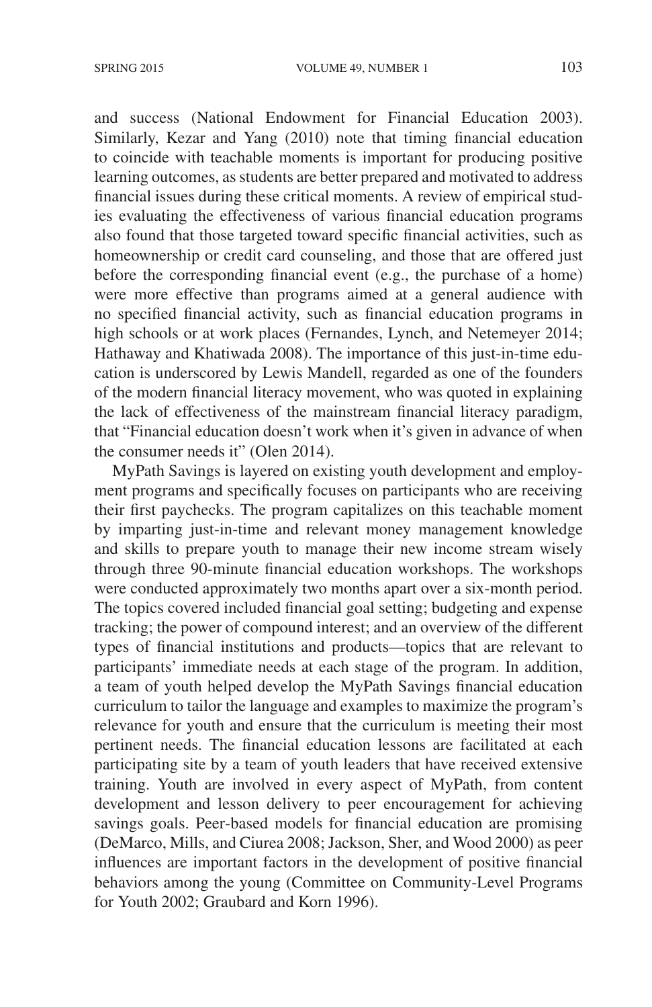and success (National Endowment for Financial Education 2003). Similarly, Kezar and Yang (2010) note that timing financial education to coincide with teachable moments is important for producing positive learning outcomes, as students are better prepared and motivated to address financial issues during these critical moments. A review of empirical studies evaluating the effectiveness of various financial education programs also found that those targeted toward specific financial activities, such as homeownership or credit card counseling, and those that are offered just before the corresponding financial event (e.g., the purchase of a home) were more effective than programs aimed at a general audience with no specified financial activity, such as financial education programs in high schools or at work places (Fernandes, Lynch, and Netemeyer 2014; Hathaway and Khatiwada 2008). The importance of this just-in-time education is underscored by Lewis Mandell, regarded as one of the founders of the modern financial literacy movement, who was quoted in explaining the lack of effectiveness of the mainstream financial literacy paradigm, that "Financial education doesn't work when it's given in advance of when the consumer needs it" (Olen 2014).

MyPath Savings is layered on existing youth development and employment programs and specifically focuses on participants who are receiving their first paychecks. The program capitalizes on this teachable moment by imparting just-in-time and relevant money management knowledge and skills to prepare youth to manage their new income stream wisely through three 90-minute financial education workshops. The workshops were conducted approximately two months apart over a six-month period. The topics covered included financial goal setting; budgeting and expense tracking; the power of compound interest; and an overview of the different types of financial institutions and products—topics that are relevant to participants' immediate needs at each stage of the program. In addition, a team of youth helped develop the MyPath Savings financial education curriculum to tailor the language and examples to maximize the program's relevance for youth and ensure that the curriculum is meeting their most pertinent needs. The financial education lessons are facilitated at each participating site by a team of youth leaders that have received extensive training. Youth are involved in every aspect of MyPath, from content development and lesson delivery to peer encouragement for achieving savings goals. Peer-based models for financial education are promising (DeMarco, Mills, and Ciurea 2008; Jackson, Sher, and Wood 2000) as peer influences are important factors in the development of positive financial behaviors among the young (Committee on Community-Level Programs for Youth 2002; Graubard and Korn 1996).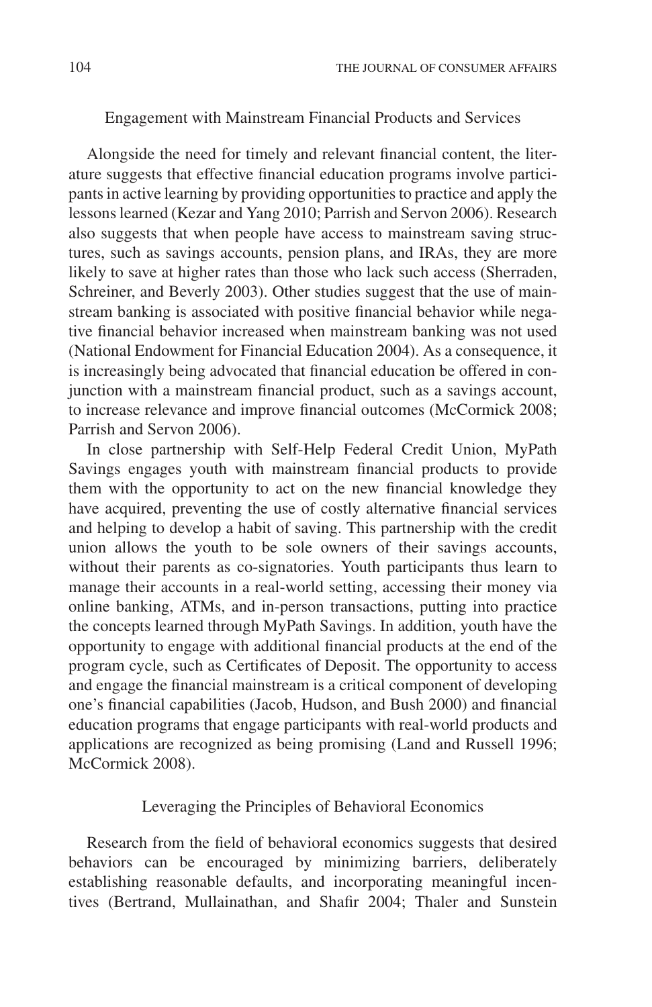# Engagement with Mainstream Financial Products and Services

Alongside the need for timely and relevant financial content, the literature suggests that effective financial education programs involve participants in active learning by providing opportunities to practice and apply the lessons learned (Kezar and Yang 2010; Parrish and Servon 2006). Research also suggests that when people have access to mainstream saving structures, such as savings accounts, pension plans, and IRAs, they are more likely to save at higher rates than those who lack such access (Sherraden, Schreiner, and Beverly 2003). Other studies suggest that the use of mainstream banking is associated with positive financial behavior while negative financial behavior increased when mainstream banking was not used (National Endowment for Financial Education 2004). As a consequence, it is increasingly being advocated that financial education be offered in conjunction with a mainstream financial product, such as a savings account, to increase relevance and improve financial outcomes (McCormick 2008; Parrish and Servon 2006).

In close partnership with Self-Help Federal Credit Union, MyPath Savings engages youth with mainstream financial products to provide them with the opportunity to act on the new financial knowledge they have acquired, preventing the use of costly alternative financial services and helping to develop a habit of saving. This partnership with the credit union allows the youth to be sole owners of their savings accounts, without their parents as co-signatories. Youth participants thus learn to manage their accounts in a real-world setting, accessing their money via online banking, ATMs, and in-person transactions, putting into practice the concepts learned through MyPath Savings. In addition, youth have the opportunity to engage with additional financial products at the end of the program cycle, such as Certificates of Deposit. The opportunity to access and engage the financial mainstream is a critical component of developing one's financial capabilities (Jacob, Hudson, and Bush 2000) and financial education programs that engage participants with real-world products and applications are recognized as being promising (Land and Russell 1996; McCormick 2008).

# Leveraging the Principles of Behavioral Economics

Research from the field of behavioral economics suggests that desired behaviors can be encouraged by minimizing barriers, deliberately establishing reasonable defaults, and incorporating meaningful incentives (Bertrand, Mullainathan, and Shafir 2004; Thaler and Sunstein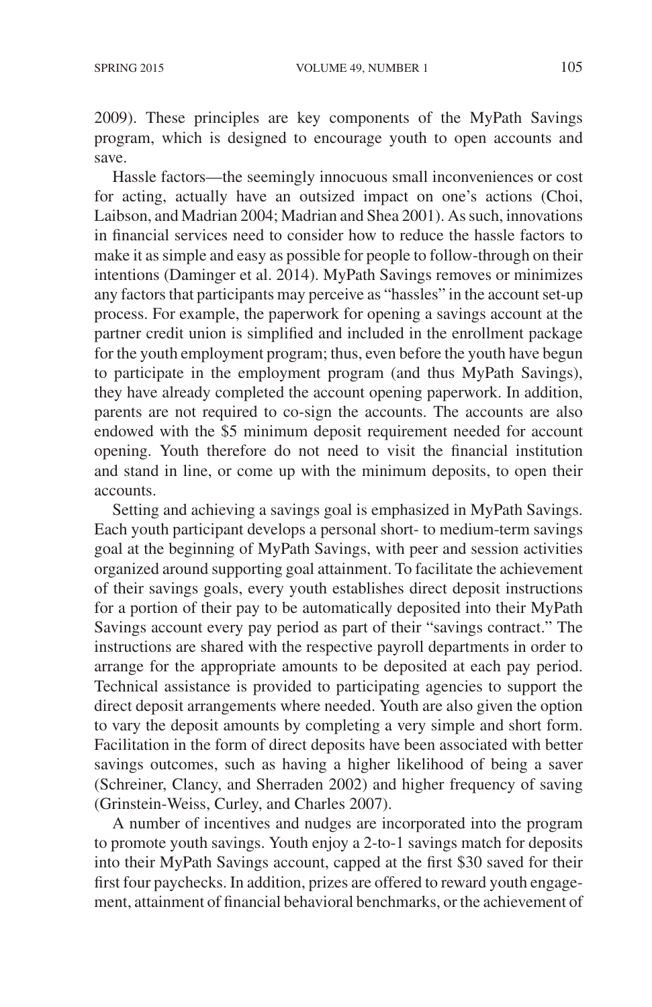2009). These principles are key components of the MyPath Savings program, which is designed to encourage youth to open accounts and save.

Hassle factors—the seemingly innocuous small inconveniences or cost for acting, actually have an outsized impact on one's actions (Choi, Laibson, and Madrian 2004; Madrian and Shea 2001). As such, innovations in financial services need to consider how to reduce the hassle factors to make it as simple and easy as possible for people to follow-through on their intentions (Daminger et al. 2014). MyPath Savings removes or minimizes any factors that participants may perceive as "hassles" in the account set-up process. For example, the paperwork for opening a savings account at the partner credit union is simplified and included in the enrollment package for the youth employment program; thus, even before the youth have begun to participate in the employment program (and thus MyPath Savings), they have already completed the account opening paperwork. In addition, parents are not required to co-sign the accounts. The accounts are also endowed with the \$5 minimum deposit requirement needed for account opening. Youth therefore do not need to visit the financial institution and stand in line, or come up with the minimum deposits, to open their accounts.

Setting and achieving a savings goal is emphasized in MyPath Savings. Each youth participant develops a personal short- to medium-term savings goal at the beginning of MyPath Savings, with peer and session activities organized around supporting goal attainment. To facilitate the achievement of their savings goals, every youth establishes direct deposit instructions for a portion of their pay to be automatically deposited into their MyPath Savings account every pay period as part of their "savings contract." The instructions are shared with the respective payroll departments in order to arrange for the appropriate amounts to be deposited at each pay period. Technical assistance is provided to participating agencies to support the direct deposit arrangements where needed. Youth are also given the option to vary the deposit amounts by completing a very simple and short form. Facilitation in the form of direct deposits have been associated with better savings outcomes, such as having a higher likelihood of being a saver (Schreiner, Clancy, and Sherraden 2002) and higher frequency of saving (Grinstein-Weiss, Curley, and Charles 2007).

A number of incentives and nudges are incorporated into the program to promote youth savings. Youth enjoy a 2-to-1 savings match for deposits into their MyPath Savings account, capped at the first \$30 saved for their first four paychecks. In addition, prizes are offered to reward youth engagement, attainment of financial behavioral benchmarks, or the achievement of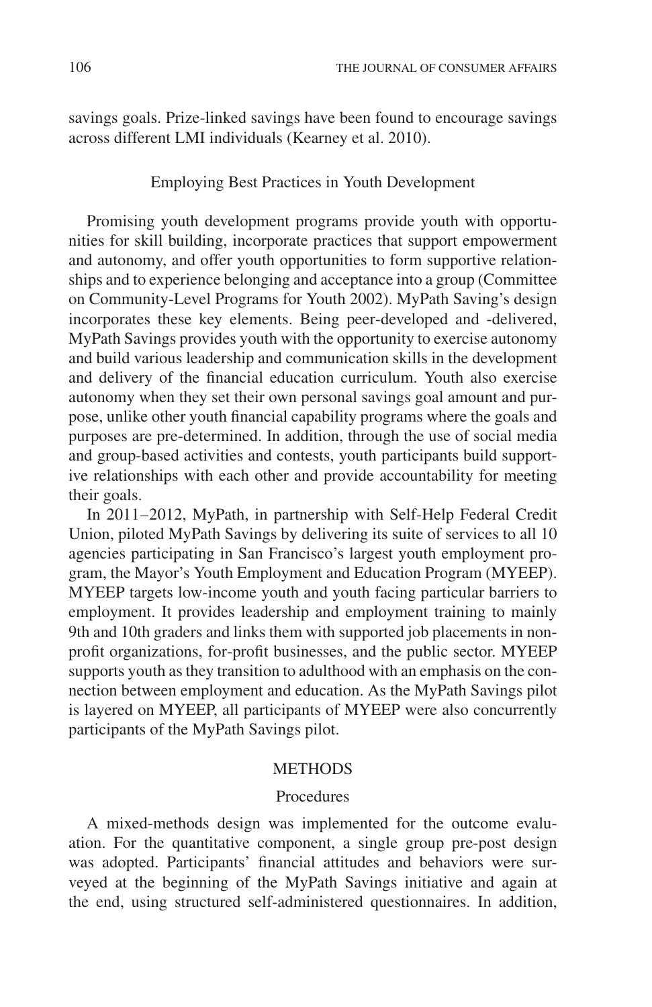savings goals. Prize-linked savings have been found to encourage savings across different LMI individuals (Kearney et al. 2010).

# Employing Best Practices in Youth Development

Promising youth development programs provide youth with opportunities for skill building, incorporate practices that support empowerment and autonomy, and offer youth opportunities to form supportive relationships and to experience belonging and acceptance into a group (Committee on Community-Level Programs for Youth 2002). MyPath Saving's design incorporates these key elements. Being peer-developed and -delivered, MyPath Savings provides youth with the opportunity to exercise autonomy and build various leadership and communication skills in the development and delivery of the financial education curriculum. Youth also exercise autonomy when they set their own personal savings goal amount and purpose, unlike other youth financial capability programs where the goals and purposes are pre-determined. In addition, through the use of social media and group-based activities and contests, youth participants build supportive relationships with each other and provide accountability for meeting their goals.

In 2011–2012, MyPath, in partnership with Self-Help Federal Credit Union, piloted MyPath Savings by delivering its suite of services to all 10 agencies participating in San Francisco's largest youth employment program, the Mayor's Youth Employment and Education Program (MYEEP). MYEEP targets low-income youth and youth facing particular barriers to employment. It provides leadership and employment training to mainly 9th and 10th graders and links them with supported job placements in nonprofit organizations, for-profit businesses, and the public sector. MYEEP supports youth as they transition to adulthood with an emphasis on the connection between employment and education. As the MyPath Savings pilot is layered on MYEEP, all participants of MYEEP were also concurrently participants of the MyPath Savings pilot.

#### **METHODS**

#### Procedures

A mixed-methods design was implemented for the outcome evaluation. For the quantitative component, a single group pre-post design was adopted. Participants' financial attitudes and behaviors were surveyed at the beginning of the MyPath Savings initiative and again at the end, using structured self-administered questionnaires. In addition,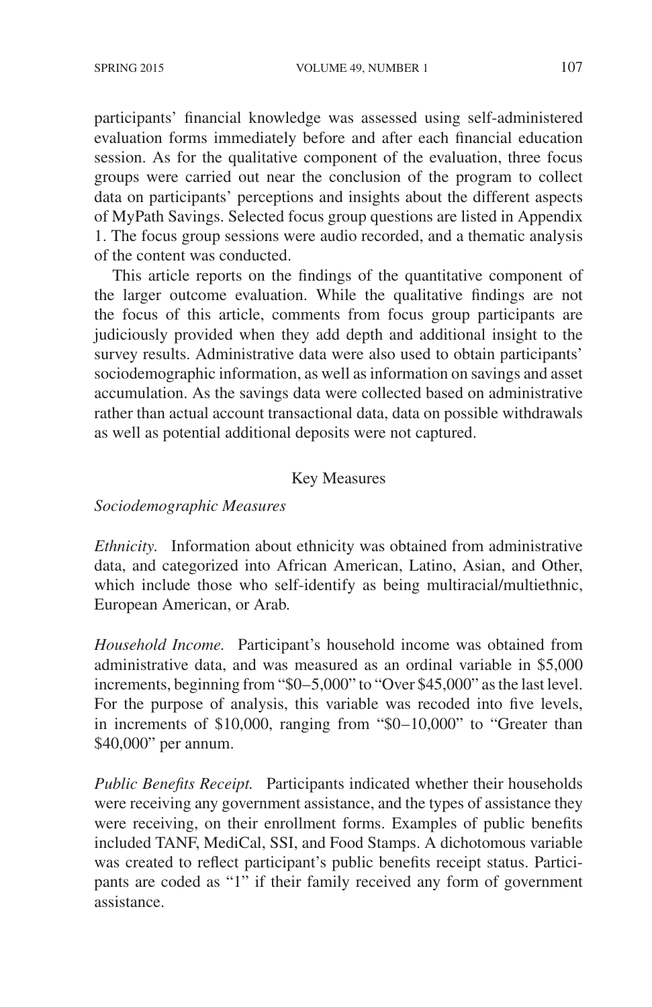participants' financial knowledge was assessed using self-administered evaluation forms immediately before and after each financial education session. As for the qualitative component of the evaluation, three focus groups were carried out near the conclusion of the program to collect data on participants' perceptions and insights about the different aspects of MyPath Savings. Selected focus group questions are listed in Appendix 1. The focus group sessions were audio recorded, and a thematic analysis of the content was conducted.

This article reports on the findings of the quantitative component of the larger outcome evaluation. While the qualitative findings are not the focus of this article, comments from focus group participants are judiciously provided when they add depth and additional insight to the survey results. Administrative data were also used to obtain participants' sociodemographic information, as well as information on savings and asset accumulation. As the savings data were collected based on administrative rather than actual account transactional data, data on possible withdrawals as well as potential additional deposits were not captured.

# Key Measures

# *Sociodemographic Measures*

*Ethnicity.* Information about ethnicity was obtained from administrative data, and categorized into African American, Latino, Asian, and Other, which include those who self-identify as being multiracial/multiethnic, European American, or Arab.

*Household Income.* Participant's household income was obtained from administrative data, and was measured as an ordinal variable in \$5,000 increments, beginning from "\$0–5,000" to "Over \$45,000" as the last level. For the purpose of analysis, this variable was recoded into five levels, in increments of \$10,000, ranging from "\$0–10,000" to "Greater than \$40,000" per annum.

*Public Benefits Receipt.* Participants indicated whether their households were receiving any government assistance, and the types of assistance they were receiving, on their enrollment forms. Examples of public benefits included TANF, MediCal, SSI, and Food Stamps. A dichotomous variable was created to reflect participant's public benefits receipt status. Participants are coded as "1" if their family received any form of government assistance.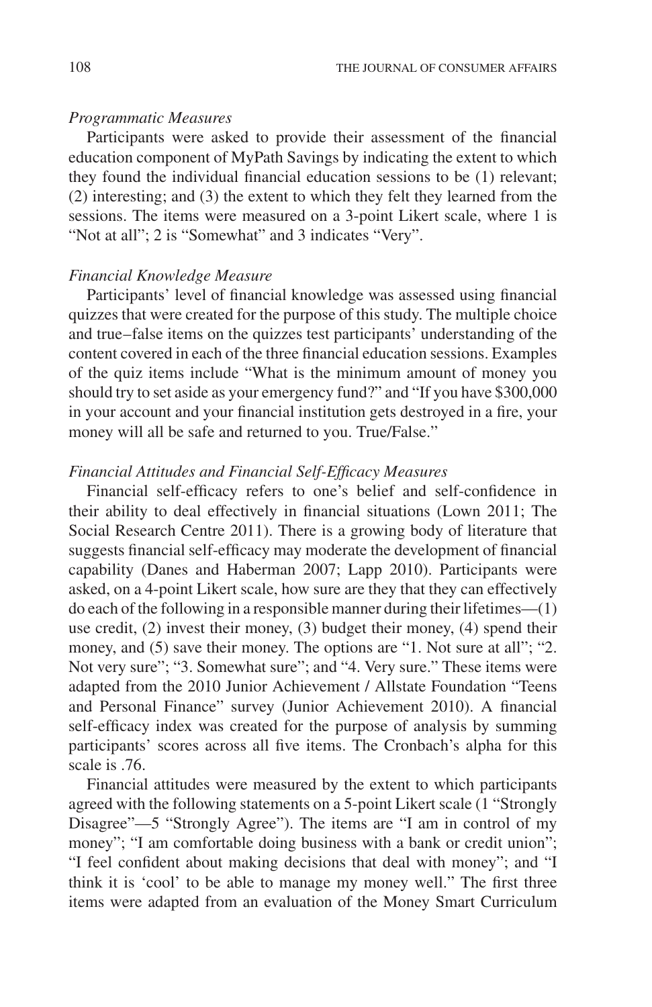# *Programmatic Measures*

Participants were asked to provide their assessment of the financial education component of MyPath Savings by indicating the extent to which they found the individual financial education sessions to be (1) relevant; (2) interesting; and (3) the extent to which they felt they learned from the sessions. The items were measured on a 3-point Likert scale, where 1 is "Not at all"; 2 is "Somewhat" and 3 indicates "Very".

# *Financial Knowledge Measure*

Participants' level of financial knowledge was assessed using financial quizzes that were created for the purpose of this study. The multiple choice and true–false items on the quizzes test participants' understanding of the content covered in each of the three financial education sessions. Examples of the quiz items include "What is the minimum amount of money you should try to set aside as your emergency fund?" and "If you have \$300,000 in your account and your financial institution gets destroyed in a fire, your money will all be safe and returned to you. True/False."

# *Financial Attitudes and Financial Self-Efficacy Measures*

Financial self-efficacy refers to one's belief and self-confidence in their ability to deal effectively in financial situations (Lown 2011; The Social Research Centre 2011). There is a growing body of literature that suggests financial self-efficacy may moderate the development of financial capability (Danes and Haberman 2007; Lapp 2010). Participants were asked, on a 4-point Likert scale, how sure are they that they can effectively do each of the following in a responsible manner during their lifetimes— $(1)$ use credit, (2) invest their money, (3) budget their money, (4) spend their money, and (5) save their money. The options are "1. Not sure at all"; "2. Not very sure"; "3. Somewhat sure"; and "4. Very sure." These items were adapted from the 2010 Junior Achievement / Allstate Foundation "Teens and Personal Finance" survey (Junior Achievement 2010). A financial self-efficacy index was created for the purpose of analysis by summing participants' scores across all five items. The Cronbach's alpha for this scale is .76.

Financial attitudes were measured by the extent to which participants agreed with the following statements on a 5-point Likert scale (1 "Strongly Disagree"—5 "Strongly Agree"). The items are "I am in control of my money"; "I am comfortable doing business with a bank or credit union"; "I feel confident about making decisions that deal with money"; and "I think it is 'cool' to be able to manage my money well." The first three items were adapted from an evaluation of the Money Smart Curriculum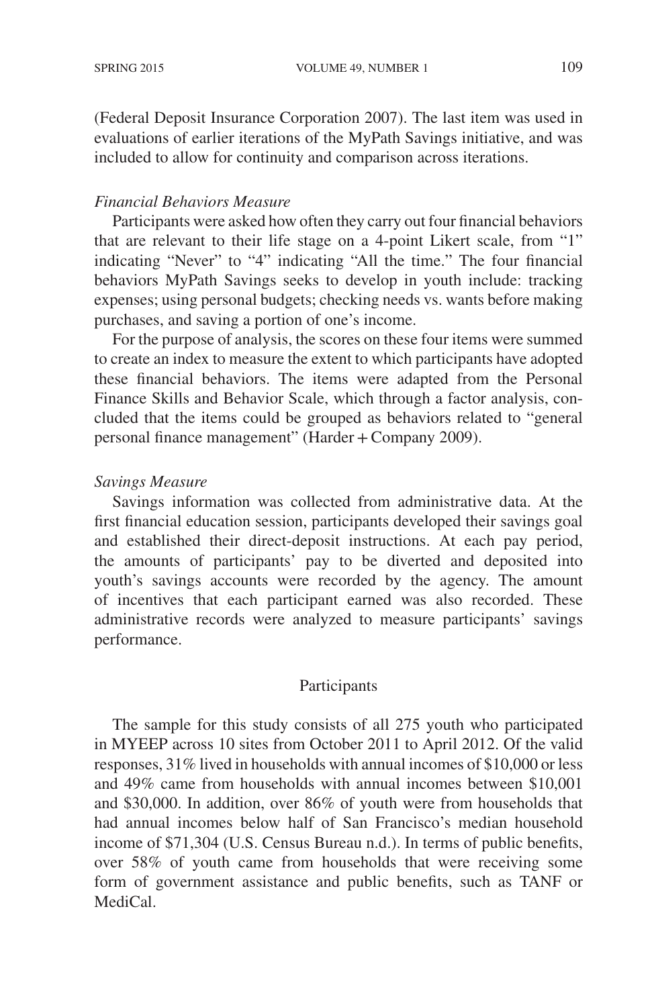(Federal Deposit Insurance Corporation 2007). The last item was used in evaluations of earlier iterations of the MyPath Savings initiative, and was included to allow for continuity and comparison across iterations.

# *Financial Behaviors Measure*

Participants were asked how often they carry out four financial behaviors that are relevant to their life stage on a 4-point Likert scale, from "1" indicating "Never" to "4" indicating "All the time." The four financial behaviors MyPath Savings seeks to develop in youth include: tracking expenses; using personal budgets; checking needs vs. wants before making purchases, and saving a portion of one's income.

For the purpose of analysis, the scores on these four items were summed to create an index to measure the extent to which participants have adopted these financial behaviors. The items were adapted from the Personal Finance Skills and Behavior Scale, which through a factor analysis, concluded that the items could be grouped as behaviors related to "general personal finance management" (Harder+Company 2009).

#### *Savings Measure*

Savings information was collected from administrative data. At the first financial education session, participants developed their savings goal and established their direct-deposit instructions. At each pay period, the amounts of participants' pay to be diverted and deposited into youth's savings accounts were recorded by the agency. The amount of incentives that each participant earned was also recorded. These administrative records were analyzed to measure participants' savings performance.

#### Participants

The sample for this study consists of all 275 youth who participated in MYEEP across 10 sites from October 2011 to April 2012. Of the valid responses, 31% lived in households with annual incomes of \$10,000 or less and 49% came from households with annual incomes between \$10,001 and \$30,000. In addition, over 86% of youth were from households that had annual incomes below half of San Francisco's median household income of \$71,304 (U.S. Census Bureau n.d.). In terms of public benefits, over 58% of youth came from households that were receiving some form of government assistance and public benefits, such as TANF or MediCal.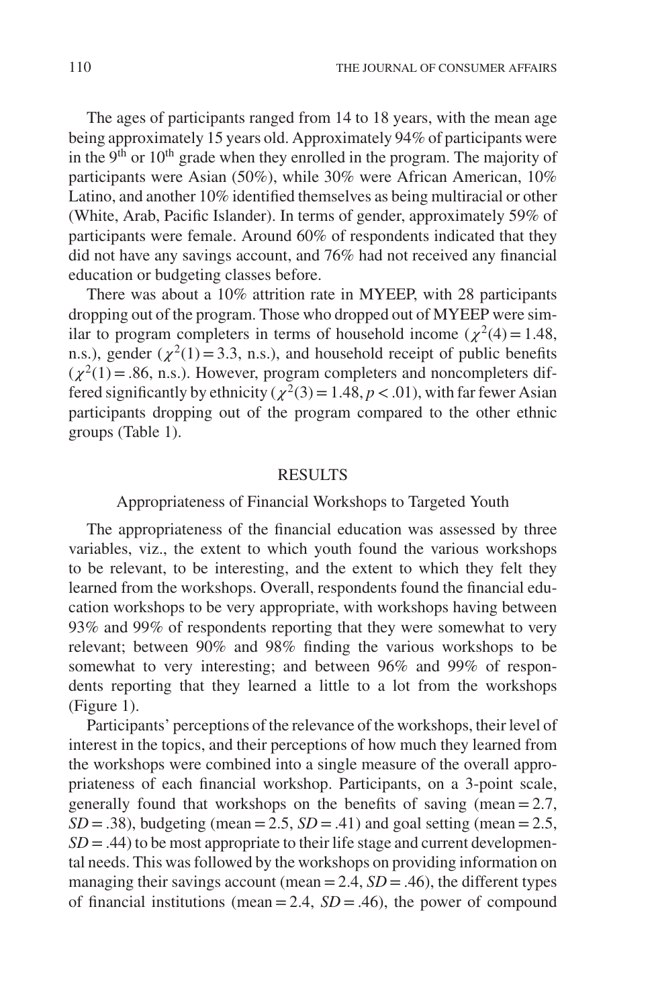The ages of participants ranged from 14 to 18 years, with the mean age being approximately 15 years old. Approximately 94% of participants were in the  $9<sup>th</sup>$  or  $10<sup>th</sup>$  grade when they enrolled in the program. The majority of participants were Asian (50%), while 30% were African American, 10% Latino, and another 10% identified themselves as being multiracial or other (White, Arab, Pacific Islander). In terms of gender, approximately 59% of participants were female. Around 60% of respondents indicated that they did not have any savings account, and 76% had not received any financial education or budgeting classes before.

There was about a 10% attrition rate in MYEEP, with 28 participants dropping out of the program. Those who dropped out of MYEEP were similar to program completers in terms of household income ( $\chi^2(4)=1.48$ , n.s.), gender ( $\chi^2(1)$  = 3.3, n.s.), and household receipt of public benefits  $(\chi^2(1)=.86, n.s.).$  However, program completers and noncompleters differed significantly by ethnicity ( $\chi^2(3)=1.48$ ,  $p < .01$ ), with far fewer Asian participants dropping out of the program compared to the other ethnic groups (Table 1).

#### RESULTS

# Appropriateness of Financial Workshops to Targeted Youth

The appropriateness of the financial education was assessed by three variables, viz., the extent to which youth found the various workshops to be relevant, to be interesting, and the extent to which they felt they learned from the workshops. Overall, respondents found the financial education workshops to be very appropriate, with workshops having between 93% and 99% of respondents reporting that they were somewhat to very relevant; between 90% and 98% finding the various workshops to be somewhat to very interesting; and between 96% and 99% of respondents reporting that they learned a little to a lot from the workshops (Figure 1).

Participants' perceptions of the relevance of the workshops, their level of interest in the topics, and their perceptions of how much they learned from the workshops were combined into a single measure of the overall appropriateness of each financial workshop. Participants, on a 3-point scale, generally found that workshops on the benefits of saving (mean =  $2.7$ ,  $SD = .38$ ), budgeting (mean = 2.5,  $SD = .41$ ) and goal setting (mean = 2.5,  $SD = .44$ ) to be most appropriate to their life stage and current developmental needs. This was followed by the workshops on providing information on managing their savings account (mean =  $2.4$ ,  $SD = .46$ ), the different types of financial institutions (mean = 2.4,  $SD = .46$ ), the power of compound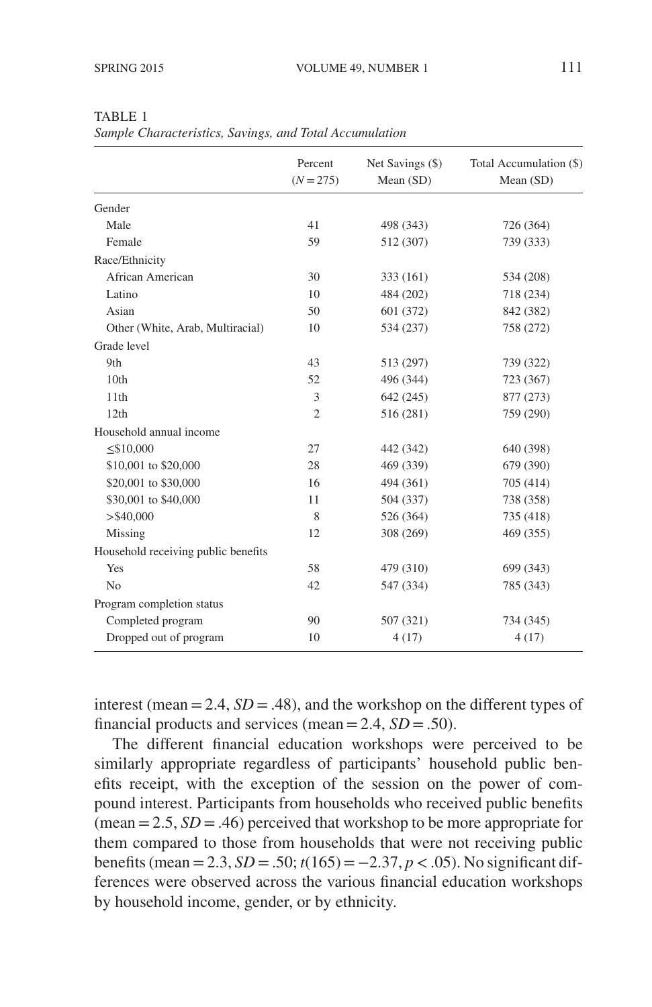|                                     | Percent<br>$(N = 275)$ | Net Savings (\$)<br>Mean (SD) | Total Accumulation (\$)<br>Mean (SD) |
|-------------------------------------|------------------------|-------------------------------|--------------------------------------|
| Gender                              |                        |                               |                                      |
| Male                                | 41                     | 498 (343)                     | 726 (364)                            |
| Female                              | 59                     | 512 (307)                     | 739 (333)                            |
| Race/Ethnicity                      |                        |                               |                                      |
| African American                    | 30                     | 333 (161)                     | 534 (208)                            |
| Latino                              | 10                     | 484 (202)                     | 718 (234)                            |
| Asian                               | 50                     | 601 (372)                     | 842 (382)                            |
| Other (White, Arab, Multiracial)    | 10                     | 534 (237)                     | 758 (272)                            |
| Grade level                         |                        |                               |                                      |
| 9th                                 | 43                     | 513 (297)                     | 739 (322)                            |
| 10th                                | 52                     | 496 (344)                     | 723 (367)                            |
| 11th                                | 3                      | 642 (245)                     | 877 (273)                            |
| 12th                                | $\overline{c}$         | 516 (281)                     | 759 (290)                            |
| Household annual income             |                        |                               |                                      |
| $≤$ \$10,000                        | 27                     | 442 (342)                     | 640 (398)                            |
| \$10,001 to \$20,000                | 28                     | 469 (339)                     | 679 (390)                            |
| \$20,001 to \$30,000                | 16                     | 494 (361)                     | 705 (414)                            |
| \$30,001 to \$40,000                | 11                     | 504 (337)                     | 738 (358)                            |
| $>$ \$40,000                        | 8                      | 526 (364)                     | 735 (418)                            |
| Missing                             | 12                     | 308 (269)                     | 469 (355)                            |
| Household receiving public benefits |                        |                               |                                      |
| Yes                                 | 58                     | 479 (310)                     | 699 (343)                            |
| N <sub>0</sub>                      | 42                     | 547 (334)                     | 785 (343)                            |
| Program completion status           |                        |                               |                                      |
| Completed program                   | 90                     | 507 (321)                     | 734 (345)                            |
| Dropped out of program              | 10                     | 4(17)                         | 4(17)                                |

TABLE 1 *Sample Characteristics, Savings, and Total Accumulation*

interest (mean = 2.4,  $SD = .48$ ), and the workshop on the different types of financial products and services (mean = 2.4,  $SD = .50$ ).

The different financial education workshops were perceived to be similarly appropriate regardless of participants' household public benefits receipt, with the exception of the session on the power of compound interest. Participants from households who received public benefits (mean  $= 2.5$ , *SD*  $= .46$ ) perceived that workshop to be more appropriate for them compared to those from households that were not receiving public benefits (mean = 2.3, *SD* = .50;  $t(165) = −2.37, p < .05$ ). No significant differences were observed across the various financial education workshops by household income, gender, or by ethnicity.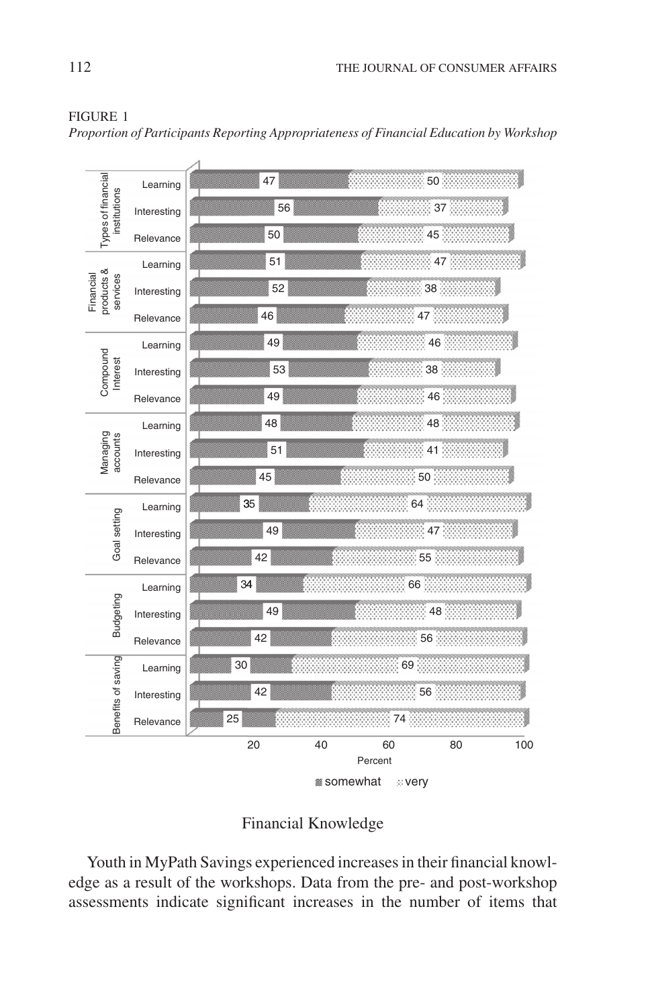|                                                    | Learning    | 50<br>47                               |
|----------------------------------------------------|-------------|----------------------------------------|
| Types of financial<br>institutions                 | Interesting | 37<br>56                               |
|                                                    | Relevance   | 50<br>45                               |
| Learning                                           |             | 47%<br>51                              |
| products &<br>Financial<br>services<br>Interesting | 38<br>52    |                                        |
| Relevance                                          |             | 47<br>46                               |
| Learning                                           |             | 46 <sup>3</sup><br>49                  |
| Compound<br>Interest                               | Interesting | 38 <sup>3</sup><br>53                  |
| Relevance                                          |             | 49<br>46                               |
|                                                    | Learning    | 48<br>48                               |
| Managing<br>accounts<br>Interesting<br>Relevance   |             | 51<br>41                               |
|                                                    |             | 50 <sup>1</sup><br>45                  |
|                                                    | Learning    | 64<br>35                               |
| Goal setting                                       | Interesting | 47 <sup>3</sup><br>49                  |
|                                                    | Relevance   | 55<br>42                               |
|                                                    | Learning    | 66<br>34                               |
| Budgeting                                          | Interesting | 48<br>49                               |
|                                                    | Relevance   | 42<br>56                               |
| Benefits of saving                                 | Learning    | 30<br>69                               |
|                                                    | Interesting | 56<br>42                               |
|                                                    | Relevance   | 25<br>74                               |
|                                                    |             | 20<br>40<br>60<br>80<br>100<br>Percent |
|                                                    |             | somewhat<br><b>Exery</b>               |

### FIGURE 1

*Proportion of Participants Reporting Appropriateness of Financial Education by Workshop*

# Financial Knowledge

Youth in MyPath Savings experienced increases in their financial knowledge as a result of the workshops. Data from the pre- and post-workshop assessments indicate significant increases in the number of items that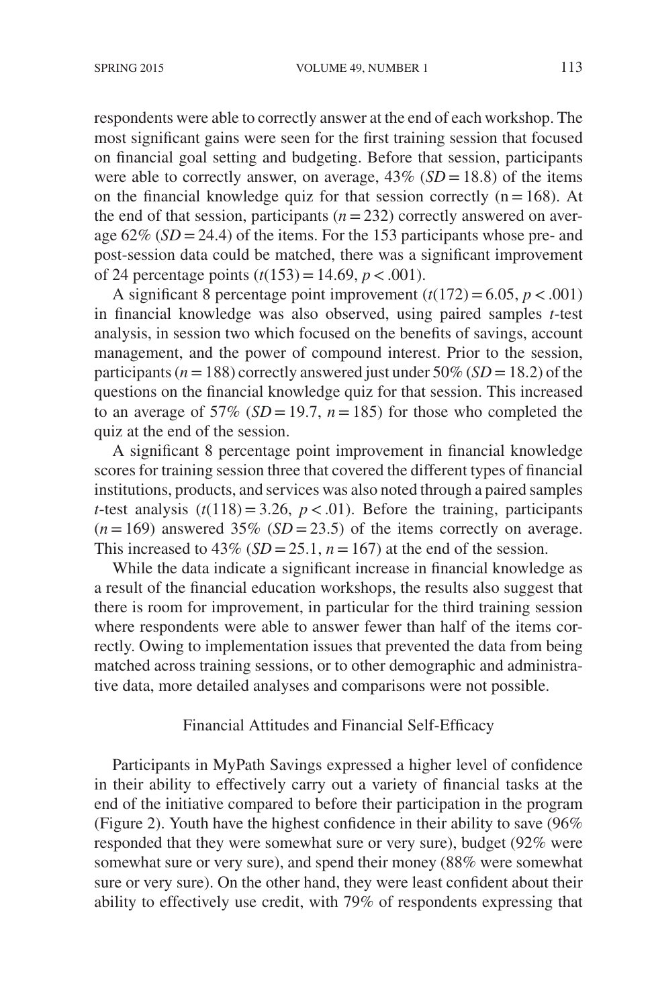respondents were able to correctly answer at the end of each workshop. The most significant gains were seen for the first training session that focused on financial goal setting and budgeting. Before that session, participants were able to correctly answer, on average,  $43\%$  (*SD* = 18.8) of the items on the financial knowledge quiz for that session correctly  $(n=168)$ . At the end of that session, participants  $(n=232)$  correctly answered on average  $62\%$  (*SD* = 24.4) of the items. For the 153 participants whose pre- and post-session data could be matched, there was a significant improvement of 24 percentage points (*t*(153)=14.69, *p<*.001).

A significant 8 percentage point improvement  $(t(172) = 6.05, p < .001)$ in financial knowledge was also observed, using paired samples *t*-test analysis, in session two which focused on the benefits of savings, account management, and the power of compound interest. Prior to the session, participants ( $n = 188$ ) correctly answered just under 50% ( $SD = 18.2$ ) of the questions on the financial knowledge quiz for that session. This increased to an average of 57% ( $SD = 19.7$ ,  $n = 185$ ) for those who completed the quiz at the end of the session.

A significant 8 percentage point improvement in financial knowledge scores for training session three that covered the different types of financial institutions, products, and services was also noted through a paired samples *t*-test analysis  $(t(118)=3.26, p < .01)$ . Before the training, participants  $(n=169)$  answered 35% (*SD* = 23.5) of the items correctly on average. This increased to  $43\%$  (*SD* = 25.1, *n* = 167) at the end of the session.

While the data indicate a significant increase in financial knowledge as a result of the financial education workshops, the results also suggest that there is room for improvement, in particular for the third training session where respondents were able to answer fewer than half of the items correctly. Owing to implementation issues that prevented the data from being matched across training sessions, or to other demographic and administrative data, more detailed analyses and comparisons were not possible.

# Financial Attitudes and Financial Self-Efficacy

Participants in MyPath Savings expressed a higher level of confidence in their ability to effectively carry out a variety of financial tasks at the end of the initiative compared to before their participation in the program (Figure 2). Youth have the highest confidence in their ability to save (96% responded that they were somewhat sure or very sure), budget (92% were somewhat sure or very sure), and spend their money (88% were somewhat sure or very sure). On the other hand, they were least confident about their ability to effectively use credit, with 79% of respondents expressing that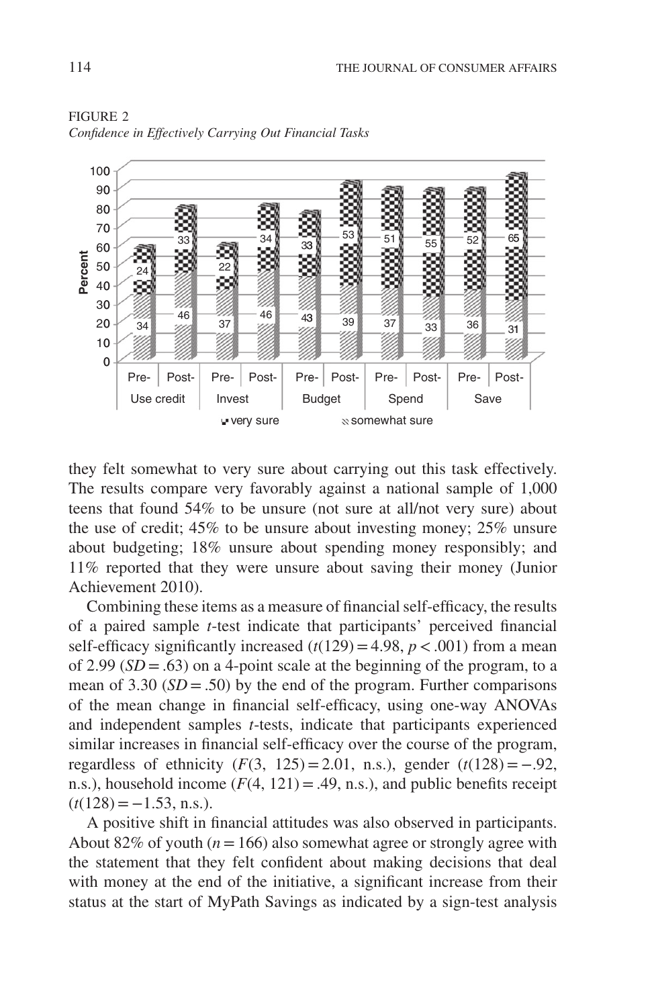

FIGURE 2 *Confidence in Effectively Carrying Out Financial Tasks*

they felt somewhat to very sure about carrying out this task effectively. The results compare very favorably against a national sample of 1,000 teens that found 54% to be unsure (not sure at all/not very sure) about the use of credit; 45% to be unsure about investing money; 25% unsure about budgeting; 18% unsure about spending money responsibly; and 11% reported that they were unsure about saving their money (Junior Achievement 2010).

Combining these items as a measure of financial self-efficacy, the results of a paired sample *t*-test indicate that participants' perceived financial self-efficacy significantly increased  $(t(129) = 4.98, p < .001)$  from a mean of 2.99  $(SD = .63)$  on a 4-point scale at the beginning of the program, to a mean of  $3.30$  (*SD* = .50) by the end of the program. Further comparisons of the mean change in financial self-efficacy, using one-way ANOVAs and independent samples *t*-tests, indicate that participants experienced similar increases in financial self-efficacy over the course of the program, regardless of ethnicity  $(F(3, 125) = 2.01, n.s.)$ , gender  $(t(128) = -.92,$ n.s.), household income  $(F(4, 121) = .49, n.s.)$ , and public benefits receipt  $(t(128) = -1.53, n.s.).$ 

A positive shift in financial attitudes was also observed in participants. About 82% of youth  $(n = 166)$  also somewhat agree or strongly agree with the statement that they felt confident about making decisions that deal with money at the end of the initiative, a significant increase from their status at the start of MyPath Savings as indicated by a sign-test analysis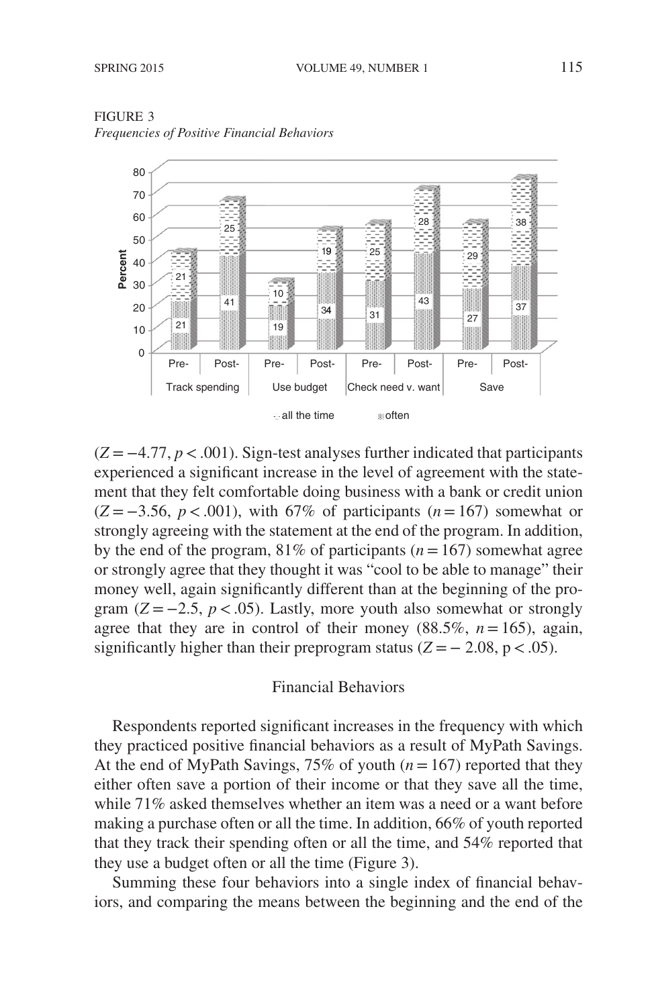



(*Z* = −4.77, *p<*.001). Sign-test analyses further indicated that participants experienced a significant increase in the level of agreement with the statement that they felt comfortable doing business with a bank or credit union (*Z* = −3.56, *p<*.001), with 67% of participants (*n*=167) somewhat or strongly agreeing with the statement at the end of the program. In addition, by the end of the program,  $81\%$  of participants ( $n=167$ ) somewhat agree or strongly agree that they thought it was "cool to be able to manage" their money well, again significantly different than at the beginning of the program  $(Z = -2.5, p < .05)$ . Lastly, more youth also somewhat or strongly agree that they are in control of their money  $(88.5\%, n=165)$ , again, significantly higher than their preprogram status  $(Z = -2.08, p < .05)$ .

#### Financial Behaviors

Respondents reported significant increases in the frequency with which they practiced positive financial behaviors as a result of MyPath Savings. At the end of MyPath Savings, 75% of youth (*n*=167) reported that they either often save a portion of their income or that they save all the time, while 71% asked themselves whether an item was a need or a want before making a purchase often or all the time. In addition, 66% of youth reported that they track their spending often or all the time, and 54% reported that they use a budget often or all the time (Figure 3).

Summing these four behaviors into a single index of financial behaviors, and comparing the means between the beginning and the end of the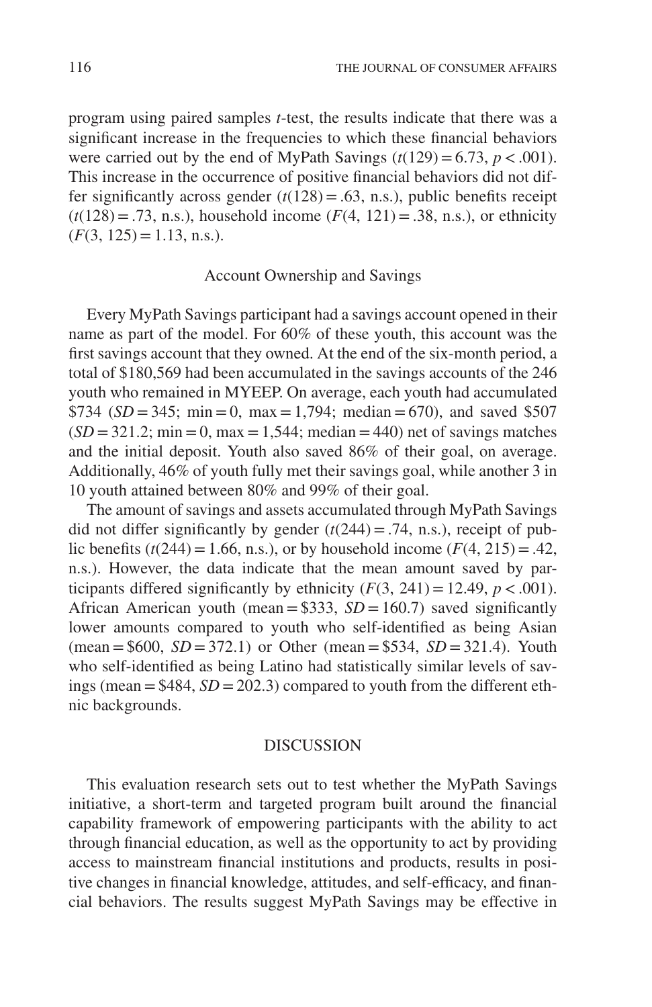program using paired samples *t*-test, the results indicate that there was a significant increase in the frequencies to which these financial behaviors were carried out by the end of MyPath Savings  $(t(129)=6.73, p < .001)$ . This increase in the occurrence of positive financial behaviors did not differ significantly across gender  $(t(128) = .63, n.s.)$ , public benefits receipt  $(t(128) = .73, n.s.),$  household income  $(F(4, 121) = .38, n.s.),$  or ethnicity  $(F(3, 125) = 1.13, n.s.).$ 

# Account Ownership and Savings

Every MyPath Savings participant had a savings account opened in their name as part of the model. For 60% of these youth, this account was the first savings account that they owned. At the end of the six-month period, a total of \$180,569 had been accumulated in the savings accounts of the 246 youth who remained in MYEEP. On average, each youth had accumulated \$734 ( $SD = 345$ ; min = 0, max = 1,794; median = 670), and saved \$507  $(SD = 321.2; \text{min} = 0, \text{max} = 1,544; \text{ median} = 440) \text{ net of savings matches}$ and the initial deposit. Youth also saved 86% of their goal, on average. Additionally, 46% of youth fully met their savings goal, while another 3 in 10 youth attained between 80% and 99% of their goal.

The amount of savings and assets accumulated through MyPath Savings did not differ significantly by gender  $(t(244) = .74, n.s.)$ , receipt of public benefits ( $t(244) = 1.66$ , n.s.), or by household income ( $F(4, 215) = .42$ , n.s.). However, the data indicate that the mean amount saved by participants differed significantly by ethnicity  $(F(3, 241) = 12.49, p < .001)$ . African American youth (mean =  $$333, SD = 160.7$ ) saved significantly lower amounts compared to youth who self-identified as being Asian  $(mean = $600, SD = 372.1)$  or Other  $(mean = $534, SD = 321.4)$ . Youth who self-identified as being Latino had statistically similar levels of savings (mean =  $$484, SD = 202.3$ ) compared to youth from the different ethnic backgrounds.

# DISCUSSION

This evaluation research sets out to test whether the MyPath Savings initiative, a short-term and targeted program built around the financial capability framework of empowering participants with the ability to act through financial education, as well as the opportunity to act by providing access to mainstream financial institutions and products, results in positive changes in financial knowledge, attitudes, and self-efficacy, and financial behaviors. The results suggest MyPath Savings may be effective in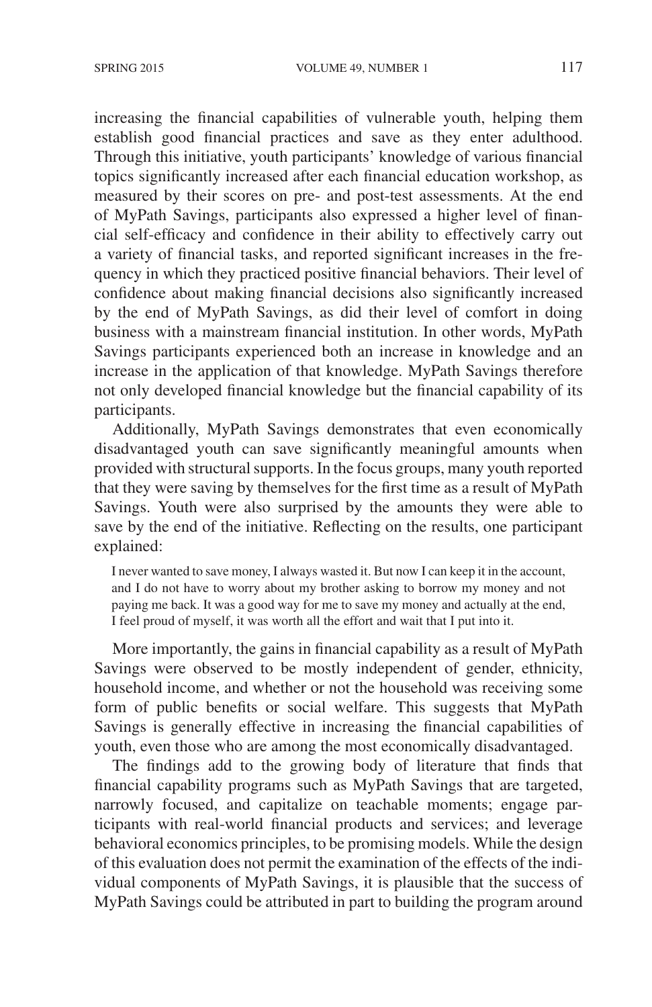increasing the financial capabilities of vulnerable youth, helping them establish good financial practices and save as they enter adulthood. Through this initiative, youth participants' knowledge of various financial topics significantly increased after each financial education workshop, as measured by their scores on pre- and post-test assessments. At the end of MyPath Savings, participants also expressed a higher level of financial self-efficacy and confidence in their ability to effectively carry out a variety of financial tasks, and reported significant increases in the frequency in which they practiced positive financial behaviors. Their level of confidence about making financial decisions also significantly increased by the end of MyPath Savings, as did their level of comfort in doing business with a mainstream financial institution. In other words, MyPath Savings participants experienced both an increase in knowledge and an increase in the application of that knowledge. MyPath Savings therefore not only developed financial knowledge but the financial capability of its participants.

Additionally, MyPath Savings demonstrates that even economically disadvantaged youth can save significantly meaningful amounts when provided with structural supports. In the focus groups, many youth reported that they were saving by themselves for the first time as a result of MyPath Savings. Youth were also surprised by the amounts they were able to save by the end of the initiative. Reflecting on the results, one participant explained:

I never wanted to save money, I always wasted it. But now I can keep it in the account, and I do not have to worry about my brother asking to borrow my money and not paying me back. It was a good way for me to save my money and actually at the end, I feel proud of myself, it was worth all the effort and wait that I put into it.

More importantly, the gains in financial capability as a result of MyPath Savings were observed to be mostly independent of gender, ethnicity, household income, and whether or not the household was receiving some form of public benefits or social welfare. This suggests that MyPath Savings is generally effective in increasing the financial capabilities of youth, even those who are among the most economically disadvantaged.

The findings add to the growing body of literature that finds that financial capability programs such as MyPath Savings that are targeted, narrowly focused, and capitalize on teachable moments; engage participants with real-world financial products and services; and leverage behavioral economics principles, to be promising models. While the design of this evaluation does not permit the examination of the effects of the individual components of MyPath Savings, it is plausible that the success of MyPath Savings could be attributed in part to building the program around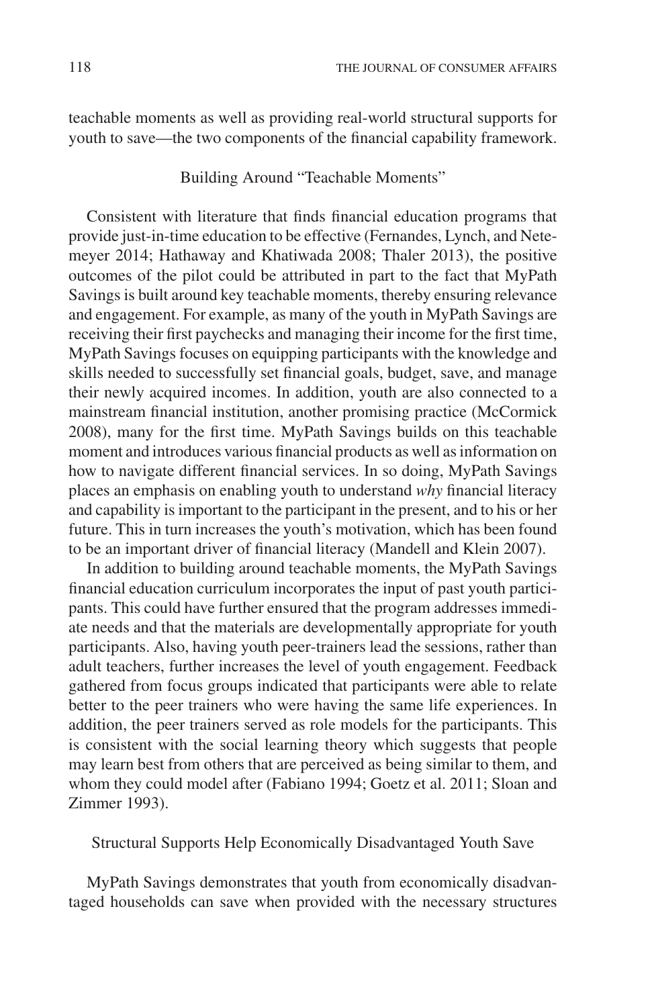teachable moments as well as providing real-world structural supports for youth to save—the two components of the financial capability framework.

Building Around "Teachable Moments"

Consistent with literature that finds financial education programs that provide just-in-time education to be effective (Fernandes, Lynch, and Netemeyer 2014; Hathaway and Khatiwada 2008; Thaler 2013), the positive outcomes of the pilot could be attributed in part to the fact that MyPath Savings is built around key teachable moments, thereby ensuring relevance and engagement. For example, as many of the youth in MyPath Savings are receiving their first paychecks and managing their income for the first time, MyPath Savings focuses on equipping participants with the knowledge and skills needed to successfully set financial goals, budget, save, and manage their newly acquired incomes. In addition, youth are also connected to a mainstream financial institution, another promising practice (McCormick 2008), many for the first time. MyPath Savings builds on this teachable moment and introduces various financial products as well as information on how to navigate different financial services. In so doing, MyPath Savings places an emphasis on enabling youth to understand *why* financial literacy and capability is important to the participant in the present, and to his or her future. This in turn increases the youth's motivation, which has been found to be an important driver of financial literacy (Mandell and Klein 2007).

In addition to building around teachable moments, the MyPath Savings financial education curriculum incorporates the input of past youth participants. This could have further ensured that the program addresses immediate needs and that the materials are developmentally appropriate for youth participants. Also, having youth peer-trainers lead the sessions, rather than adult teachers, further increases the level of youth engagement. Feedback gathered from focus groups indicated that participants were able to relate better to the peer trainers who were having the same life experiences. In addition, the peer trainers served as role models for the participants. This is consistent with the social learning theory which suggests that people may learn best from others that are perceived as being similar to them, and whom they could model after (Fabiano 1994; Goetz et al. 2011; Sloan and Zimmer 1993).

Structural Supports Help Economically Disadvantaged Youth Save

MyPath Savings demonstrates that youth from economically disadvantaged households can save when provided with the necessary structures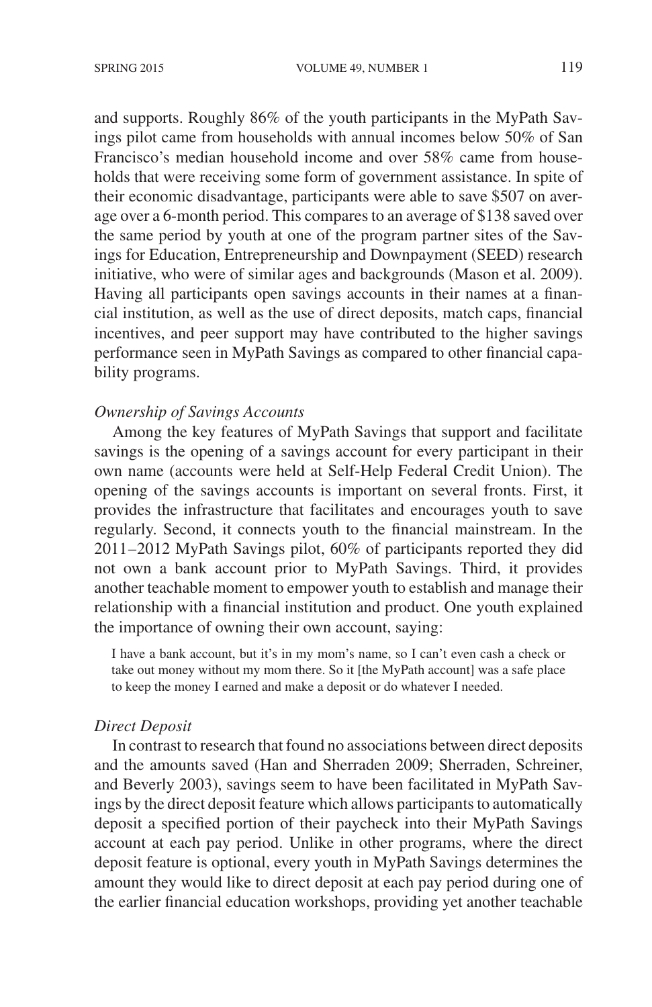and supports. Roughly 86% of the youth participants in the MyPath Savings pilot came from households with annual incomes below 50% of San Francisco's median household income and over 58% came from households that were receiving some form of government assistance. In spite of their economic disadvantage, participants were able to save \$507 on average over a 6-month period. This compares to an average of \$138 saved over the same period by youth at one of the program partner sites of the Savings for Education, Entrepreneurship and Downpayment (SEED) research initiative, who were of similar ages and backgrounds (Mason et al. 2009). Having all participants open savings accounts in their names at a financial institution, as well as the use of direct deposits, match caps, financial incentives, and peer support may have contributed to the higher savings performance seen in MyPath Savings as compared to other financial capability programs.

# *Ownership of Savings Accounts*

Among the key features of MyPath Savings that support and facilitate savings is the opening of a savings account for every participant in their own name (accounts were held at Self-Help Federal Credit Union). The opening of the savings accounts is important on several fronts. First, it provides the infrastructure that facilitates and encourages youth to save regularly. Second, it connects youth to the financial mainstream. In the 2011–2012 MyPath Savings pilot, 60% of participants reported they did not own a bank account prior to MyPath Savings. Third, it provides another teachable moment to empower youth to establish and manage their relationship with a financial institution and product. One youth explained the importance of owning their own account, saying:

I have a bank account, but it's in my mom's name, so I can't even cash a check or take out money without my mom there. So it [the MyPath account] was a safe place to keep the money I earned and make a deposit or do whatever I needed.

# *Direct Deposit*

In contrast to research that found no associations between direct deposits and the amounts saved (Han and Sherraden 2009; Sherraden, Schreiner, and Beverly 2003), savings seem to have been facilitated in MyPath Savings by the direct deposit feature which allows participants to automatically deposit a specified portion of their paycheck into their MyPath Savings account at each pay period. Unlike in other programs, where the direct deposit feature is optional, every youth in MyPath Savings determines the amount they would like to direct deposit at each pay period during one of the earlier financial education workshops, providing yet another teachable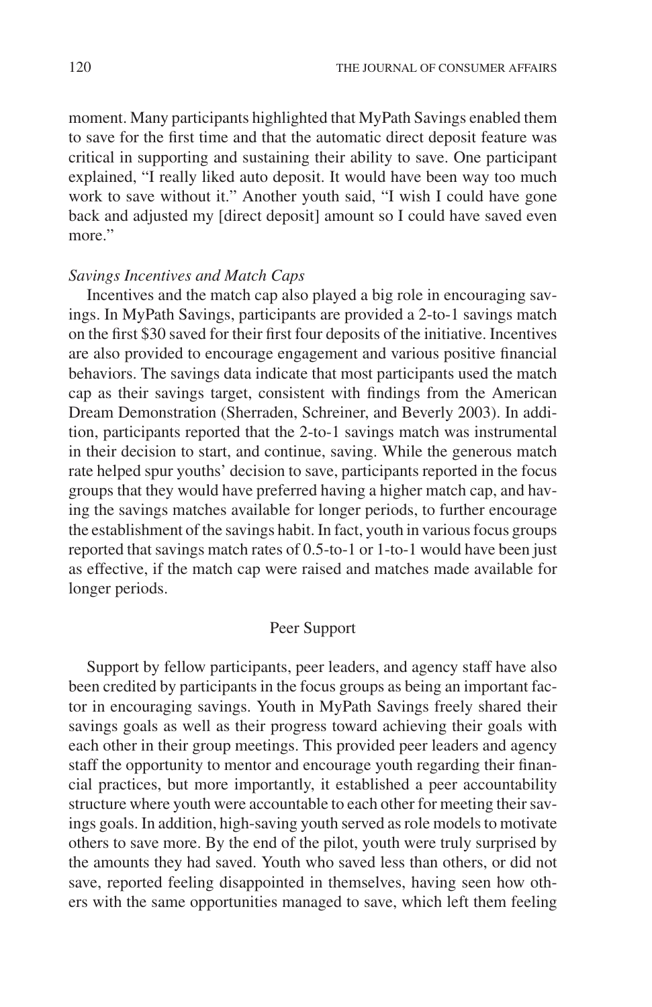moment. Many participants highlighted that MyPath Savings enabled them to save for the first time and that the automatic direct deposit feature was critical in supporting and sustaining their ability to save. One participant explained, "I really liked auto deposit. It would have been way too much work to save without it." Another youth said, "I wish I could have gone back and adjusted my [direct deposit] amount so I could have saved even more."

# *Savings Incentives and Match Caps*

Incentives and the match cap also played a big role in encouraging savings. In MyPath Savings, participants are provided a 2-to-1 savings match on the first \$30 saved for their first four deposits of the initiative. Incentives are also provided to encourage engagement and various positive financial behaviors. The savings data indicate that most participants used the match cap as their savings target, consistent with findings from the American Dream Demonstration (Sherraden, Schreiner, and Beverly 2003). In addition, participants reported that the 2-to-1 savings match was instrumental in their decision to start, and continue, saving. While the generous match rate helped spur youths' decision to save, participants reported in the focus groups that they would have preferred having a higher match cap, and having the savings matches available for longer periods, to further encourage the establishment of the savings habit. In fact, youth in various focus groups reported that savings match rates of 0.5-to-1 or 1-to-1 would have been just as effective, if the match cap were raised and matches made available for longer periods.

# Peer Support

Support by fellow participants, peer leaders, and agency staff have also been credited by participants in the focus groups as being an important factor in encouraging savings. Youth in MyPath Savings freely shared their savings goals as well as their progress toward achieving their goals with each other in their group meetings. This provided peer leaders and agency staff the opportunity to mentor and encourage youth regarding their financial practices, but more importantly, it established a peer accountability structure where youth were accountable to each other for meeting their savings goals. In addition, high-saving youth served as role models to motivate others to save more. By the end of the pilot, youth were truly surprised by the amounts they had saved. Youth who saved less than others, or did not save, reported feeling disappointed in themselves, having seen how others with the same opportunities managed to save, which left them feeling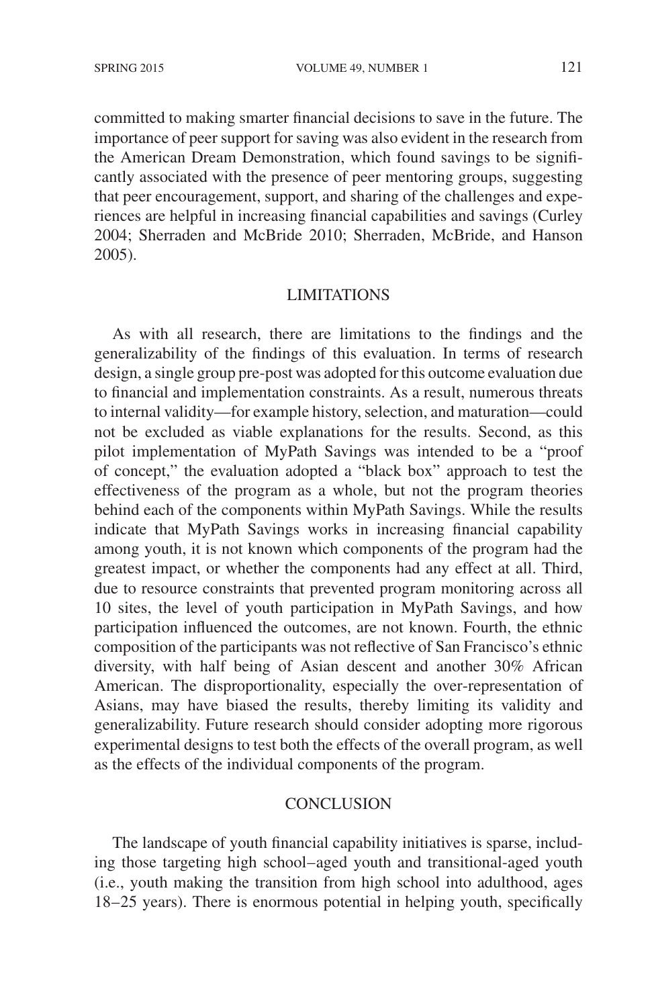committed to making smarter financial decisions to save in the future. The importance of peer support for saving was also evident in the research from the American Dream Demonstration, which found savings to be significantly associated with the presence of peer mentoring groups, suggesting that peer encouragement, support, and sharing of the challenges and experiences are helpful in increasing financial capabilities and savings (Curley 2004; Sherraden and McBride 2010; Sherraden, McBride, and Hanson 2005).

### LIMITATIONS

As with all research, there are limitations to the findings and the generalizability of the findings of this evaluation. In terms of research design, a single group pre-post was adopted for this outcome evaluation due to financial and implementation constraints. As a result, numerous threats to internal validity—for example history, selection, and maturation—could not be excluded as viable explanations for the results. Second, as this pilot implementation of MyPath Savings was intended to be a "proof of concept," the evaluation adopted a "black box" approach to test the effectiveness of the program as a whole, but not the program theories behind each of the components within MyPath Savings. While the results indicate that MyPath Savings works in increasing financial capability among youth, it is not known which components of the program had the greatest impact, or whether the components had any effect at all. Third, due to resource constraints that prevented program monitoring across all 10 sites, the level of youth participation in MyPath Savings, and how participation influenced the outcomes, are not known. Fourth, the ethnic composition of the participants was not reflective of San Francisco's ethnic diversity, with half being of Asian descent and another 30% African American. The disproportionality, especially the over-representation of Asians, may have biased the results, thereby limiting its validity and generalizability. Future research should consider adopting more rigorous experimental designs to test both the effects of the overall program, as well as the effects of the individual components of the program.

# **CONCLUSION**

The landscape of youth financial capability initiatives is sparse, including those targeting high school–aged youth and transitional-aged youth (i.e., youth making the transition from high school into adulthood, ages 18–25 years). There is enormous potential in helping youth, specifically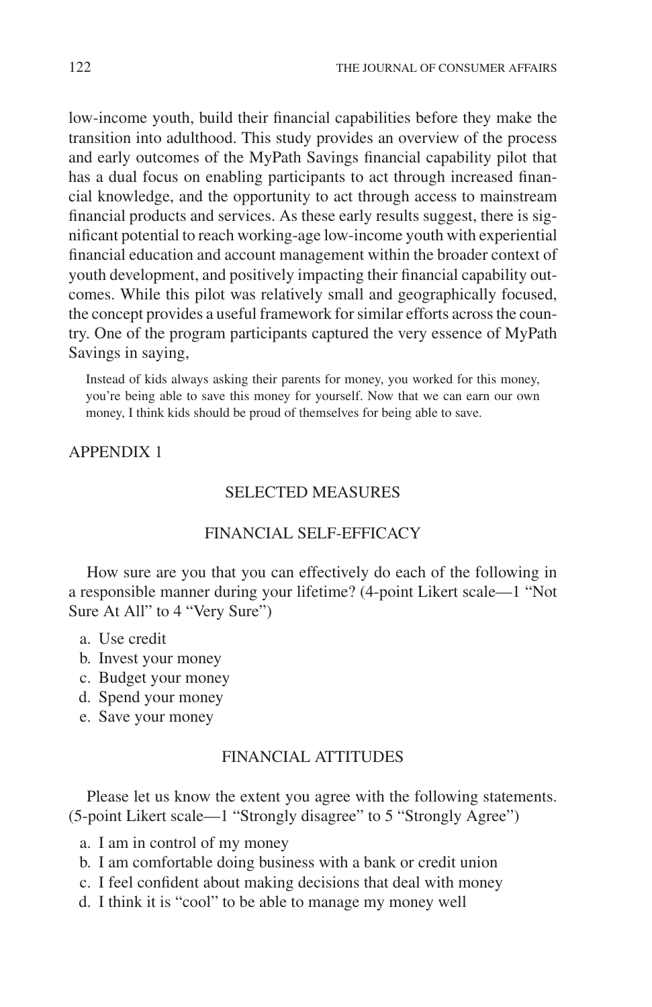low-income youth, build their financial capabilities before they make the transition into adulthood. This study provides an overview of the process and early outcomes of the MyPath Savings financial capability pilot that has a dual focus on enabling participants to act through increased financial knowledge, and the opportunity to act through access to mainstream financial products and services. As these early results suggest, there is significant potential to reach working-age low-income youth with experiential financial education and account management within the broader context of youth development, and positively impacting their financial capability outcomes. While this pilot was relatively small and geographically focused, the concept provides a useful framework for similar efforts across the country. One of the program participants captured the very essence of MyPath Savings in saying,

Instead of kids always asking their parents for money, you worked for this money, you're being able to save this money for yourself. Now that we can earn our own money, I think kids should be proud of themselves for being able to save.

# APPENDIX 1

### SELECTED MEASURES

# FINANCIAL SELF-EFFICACY

How sure are you that you can effectively do each of the following in a responsible manner during your lifetime? (4-point Likert scale—1 "Not Sure At All" to 4 "Very Sure")

- a. Use credit
- b. Invest your money
- c. Budget your money
- d. Spend your money
- e. Save your money

# FINANCIAL ATTITUDES

Please let us know the extent you agree with the following statements. (5-point Likert scale—1 "Strongly disagree" to 5 "Strongly Agree")

- a. I am in control of my money
- b. I am comfortable doing business with a bank or credit union
- c. I feel confident about making decisions that deal with money
- d. I think it is "cool" to be able to manage my money well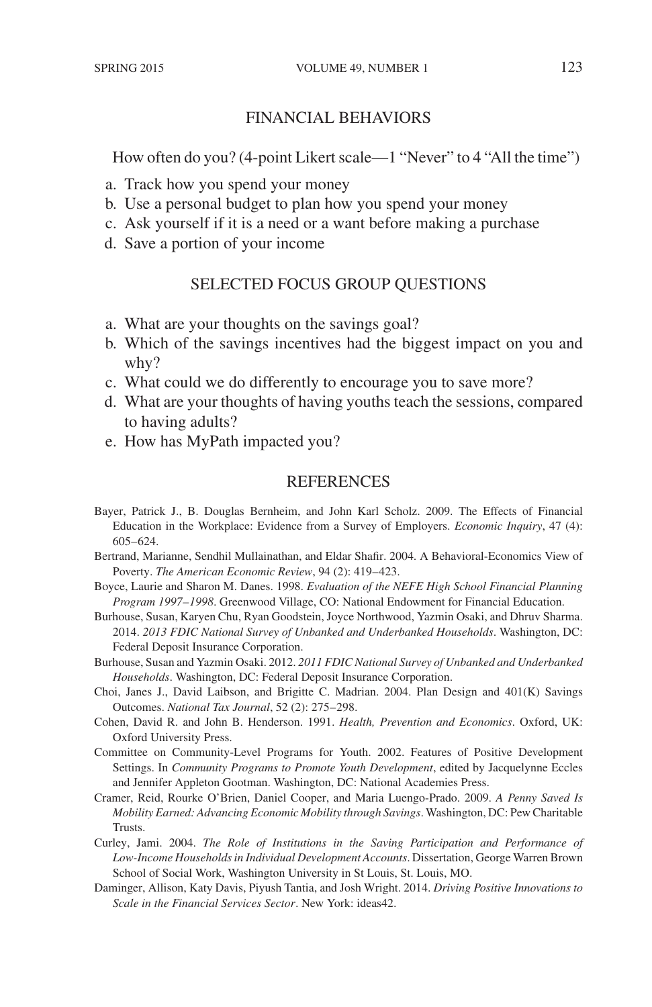# FINANCIAL BEHAVIORS

How often do you? (4-point Likert scale—1 "Never" to 4 "All the time")

- a. Track how you spend your money
- b. Use a personal budget to plan how you spend your money
- c. Ask yourself if it is a need or a want before making a purchase
- d. Save a portion of your income

# SELECTED FOCUS GROUP QUESTIONS

- a. What are your thoughts on the savings goal?
- b. Which of the savings incentives had the biggest impact on you and why?
- c. What could we do differently to encourage you to save more?
- d. What are your thoughts of having youths teach the sessions, compared to having adults?
- e. How has MyPath impacted you?

### **REFERENCES**

Bayer, Patrick J., B. Douglas Bernheim, and John Karl Scholz. 2009. The Effects of Financial Education in the Workplace: Evidence from a Survey of Employers. *Economic Inquiry*, 47 (4): 605–624.

Bertrand, Marianne, Sendhil Mullainathan, and Eldar Shafir. 2004. A Behavioral-Economics View of Poverty. *The American Economic Review*, 94 (2): 419–423.

- Boyce, Laurie and Sharon M. Danes. 1998. *Evaluation of the NEFE High School Financial Planning Program 1997–1998*. Greenwood Village, CO: National Endowment for Financial Education.
- Burhouse, Susan, Karyen Chu, Ryan Goodstein, Joyce Northwood, Yazmin Osaki, and Dhruv Sharma. 2014. *2013 FDIC National Survey of Unbanked and Underbanked Households*. Washington, DC: Federal Deposit Insurance Corporation.
- Burhouse, Susan and Yazmin Osaki. 2012. *2011 FDIC National Survey of Unbanked and Underbanked Households*. Washington, DC: Federal Deposit Insurance Corporation.
- Choi, Janes J., David Laibson, and Brigitte C. Madrian. 2004. Plan Design and 401(K) Savings Outcomes. *National Tax Journal*, 52 (2): 275–298.
- Cohen, David R. and John B. Henderson. 1991. *Health, Prevention and Economics*. Oxford, UK: Oxford University Press.
- Committee on Community-Level Programs for Youth. 2002. Features of Positive Development Settings. In *Community Programs to Promote Youth Development*, edited by Jacquelynne Eccles and Jennifer Appleton Gootman. Washington, DC: National Academies Press.
- Cramer, Reid, Rourke O'Brien, Daniel Cooper, and Maria Luengo-Prado. 2009. *A Penny Saved Is Mobility Earned: Advancing Economic Mobility through Savings*. Washington, DC: Pew Charitable **Trusts**.
- Curley, Jami. 2004. *The Role of Institutions in the Saving Participation and Performance of Low-Income Households in Individual Development Accounts*. Dissertation, George Warren Brown School of Social Work, Washington University in St Louis, St. Louis, MO.
- Daminger, Allison, Katy Davis, Piyush Tantia, and Josh Wright. 2014. *Driving Positive Innovations to Scale in the Financial Services Sector*. New York: ideas42.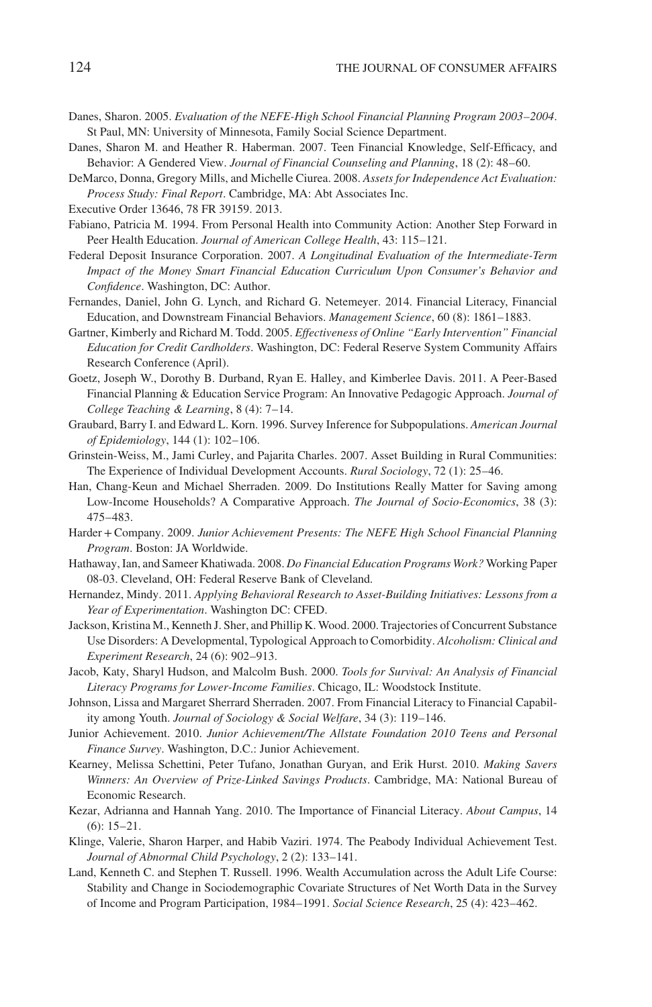- Danes, Sharon. 2005. *Evaluation of the NEFE-High School Financial Planning Program 2003–2004*. St Paul, MN: University of Minnesota, Family Social Science Department.
- Danes, Sharon M. and Heather R. Haberman. 2007. Teen Financial Knowledge, Self-Efficacy, and Behavior: A Gendered View. *Journal of Financial Counseling and Planning*, 18 (2): 48–60.
- DeMarco, Donna, Gregory Mills, and Michelle Ciurea. 2008. *Assets for Independence Act Evaluation: Process Study: Final Report*. Cambridge, MA: Abt Associates Inc.
- Executive Order 13646, 78 FR 39159. 2013.
- Fabiano, Patricia M. 1994. From Personal Health into Community Action: Another Step Forward in Peer Health Education. *Journal of American College Health*, 43: 115–121.
- Federal Deposit Insurance Corporation. 2007. *A Longitudinal Evaluation of the Intermediate-Term Impact of the Money Smart Financial Education Curriculum Upon Consumer's Behavior and Confidence*. Washington, DC: Author.
- Fernandes, Daniel, John G. Lynch, and Richard G. Netemeyer. 2014. Financial Literacy, Financial Education, and Downstream Financial Behaviors. *Management Science*, 60 (8): 1861–1883.
- Gartner, Kimberly and Richard M. Todd. 2005. *Effectiveness of Online "Early Intervention" Financial Education for Credit Cardholders*. Washington, DC: Federal Reserve System Community Affairs Research Conference (April).
- Goetz, Joseph W., Dorothy B. Durband, Ryan E. Halley, and Kimberlee Davis. 2011. A Peer-Based Financial Planning & Education Service Program: An Innovative Pedagogic Approach. *Journal of College Teaching & Learning*, 8 (4): 7–14.
- Graubard, Barry I. and Edward L. Korn. 1996. Survey Inference for Subpopulations. *American Journal of Epidemiology*, 144 (1): 102–106.
- Grinstein-Weiss, M., Jami Curley, and Pajarita Charles. 2007. Asset Building in Rural Communities: The Experience of Individual Development Accounts. *Rural Sociology*, 72 (1): 25–46.
- Han, Chang-Keun and Michael Sherraden. 2009. Do Institutions Really Matter for Saving among Low-Income Households? A Comparative Approach. *The Journal of Socio-Economics*, 38 (3): 475–483.
- Harder+Company. 2009. *Junior Achievement Presents: The NEFE High School Financial Planning Program*. Boston: JA Worldwide.
- Hathaway, Ian, and Sameer Khatiwada. 2008. *Do Financial Education Programs Work?* Working Paper 08-03. Cleveland, OH: Federal Reserve Bank of Cleveland.
- Hernandez, Mindy. 2011. *Applying Behavioral Research to Asset-Building Initiatives: Lessons from a Year of Experimentation*. Washington DC: CFED.
- Jackson, Kristina M., Kenneth J. Sher, and Phillip K. Wood. 2000. Trajectories of Concurrent Substance Use Disorders: A Developmental, Typological Approach to Comorbidity. *Alcoholism: Clinical and Experiment Research*, 24 (6): 902–913.
- Jacob, Katy, Sharyl Hudson, and Malcolm Bush. 2000. *Tools for Survival: An Analysis of Financial Literacy Programs for Lower-Income Families*. Chicago, IL: Woodstock Institute.
- Johnson, Lissa and Margaret Sherrard Sherraden. 2007. From Financial Literacy to Financial Capability among Youth. *Journal of Sociology & Social Welfare*, 34 (3): 119–146.
- Junior Achievement. 2010. *Junior Achievement/The Allstate Foundation 2010 Teens and Personal Finance Survey*. Washington, D.C.: Junior Achievement.
- Kearney, Melissa Schettini, Peter Tufano, Jonathan Guryan, and Erik Hurst. 2010. *Making Savers Winners: An Overview of Prize-Linked Savings Products*. Cambridge, MA: National Bureau of Economic Research.
- Kezar, Adrianna and Hannah Yang. 2010. The Importance of Financial Literacy. *About Campus*, 14 (6): 15–21.
- Klinge, Valerie, Sharon Harper, and Habib Vaziri. 1974. The Peabody Individual Achievement Test. *Journal of Abnormal Child Psychology*, 2 (2): 133–141.
- Land, Kenneth C. and Stephen T. Russell. 1996. Wealth Accumulation across the Adult Life Course: Stability and Change in Sociodemographic Covariate Structures of Net Worth Data in the Survey of Income and Program Participation, 1984–1991. *Social Science Research*, 25 (4): 423–462.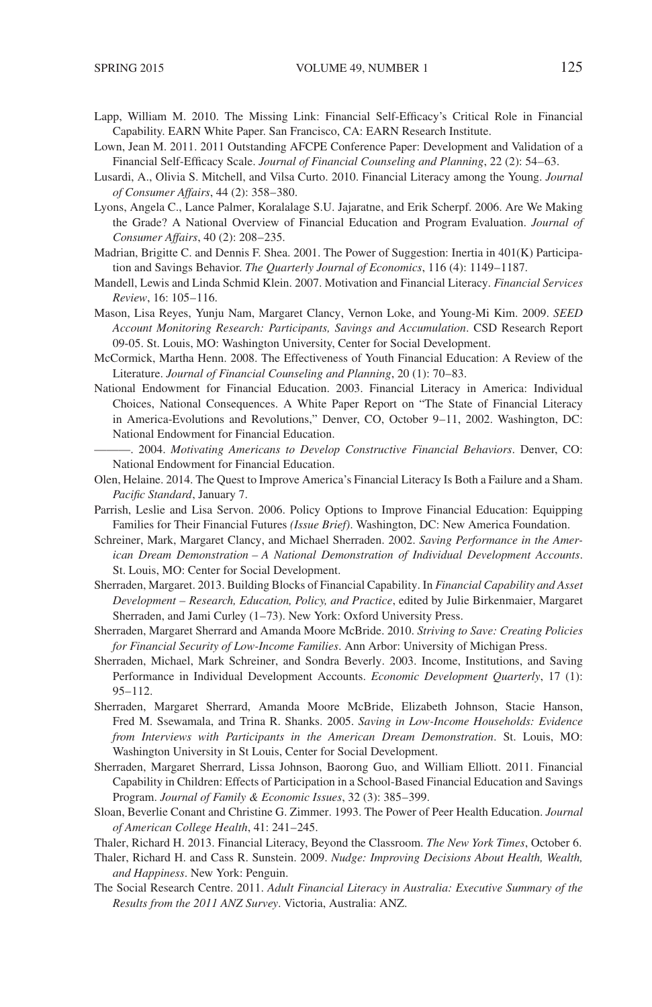- Lapp, William M. 2010. The Missing Link: Financial Self-Efficacy's Critical Role in Financial Capability. EARN White Paper. San Francisco, CA: EARN Research Institute.
- Lown, Jean M. 2011. 2011 Outstanding AFCPE Conference Paper: Development and Validation of a Financial Self-Efficacy Scale. *Journal of Financial Counseling and Planning*, 22 (2): 54–63.
- Lusardi, A., Olivia S. Mitchell, and Vilsa Curto. 2010. Financial Literacy among the Young. *Journal of Consumer Affairs*, 44 (2): 358–380.
- Lyons, Angela C., Lance Palmer, Koralalage S.U. Jajaratne, and Erik Scherpf. 2006. Are We Making the Grade? A National Overview of Financial Education and Program Evaluation. *Journal of Consumer Affairs*, 40 (2): 208–235.
- Madrian, Brigitte C. and Dennis F. Shea. 2001. The Power of Suggestion: Inertia in 401(K) Participation and Savings Behavior. *The Quarterly Journal of Economics*, 116 (4): 1149–1187.
- Mandell, Lewis and Linda Schmid Klein. 2007. Motivation and Financial Literacy. *Financial Services Review*, 16: 105–116.
- Mason, Lisa Reyes, Yunju Nam, Margaret Clancy, Vernon Loke, and Young-Mi Kim. 2009. *SEED Account Monitoring Research: Participants, Savings and Accumulation*. CSD Research Report 09-05. St. Louis, MO: Washington University, Center for Social Development.
- McCormick, Martha Henn. 2008. The Effectiveness of Youth Financial Education: A Review of the Literature. *Journal of Financial Counseling and Planning*, 20 (1): 70–83.
- National Endowment for Financial Education. 2003. Financial Literacy in America: Individual Choices, National Consequences. A White Paper Report on "The State of Financial Literacy in America-Evolutions and Revolutions," Denver, CO, October 9–11, 2002. Washington, DC: National Endowment for Financial Education.
- ———. 2004. *Motivating Americans to Develop Constructive Financial Behaviors*. Denver, CO: National Endowment for Financial Education.
- Olen, Helaine. 2014. The Quest to Improve America's Financial Literacy Is Both a Failure and a Sham. *Pacific Standard*, January 7.
- Parrish, Leslie and Lisa Servon. 2006. Policy Options to Improve Financial Education: Equipping Families for Their Financial Futures *(Issue Brief)*. Washington, DC: New America Foundation.
- Schreiner, Mark, Margaret Clancy, and Michael Sherraden. 2002. *Saving Performance in the American Dream Demonstration – A National Demonstration of Individual Development Accounts*. St. Louis, MO: Center for Social Development.
- Sherraden, Margaret. 2013. Building Blocks of Financial Capability. In *Financial Capability and Asset Development – Research, Education, Policy, and Practice*, edited by Julie Birkenmaier, Margaret Sherraden, and Jami Curley (1–73). New York: Oxford University Press.
- Sherraden, Margaret Sherrard and Amanda Moore McBride. 2010. *Striving to Save: Creating Policies for Financial Security of Low-Income Families*. Ann Arbor: University of Michigan Press.
- Sherraden, Michael, Mark Schreiner, and Sondra Beverly. 2003. Income, Institutions, and Saving Performance in Individual Development Accounts. *Economic Development Quarterly*, 17 (1): 95–112.
- Sherraden, Margaret Sherrard, Amanda Moore McBride, Elizabeth Johnson, Stacie Hanson, Fred M. Ssewamala, and Trina R. Shanks. 2005. *Saving in Low-Income Households: Evidence from Interviews with Participants in the American Dream Demonstration*. St. Louis, MO: Washington University in St Louis, Center for Social Development.
- Sherraden, Margaret Sherrard, Lissa Johnson, Baorong Guo, and William Elliott. 2011. Financial Capability in Children: Effects of Participation in a School-Based Financial Education and Savings Program. *Journal of Family & Economic Issues*, 32 (3): 385–399.
- Sloan, Beverlie Conant and Christine G. Zimmer. 1993. The Power of Peer Health Education. *Journal of American College Health*, 41: 241–245.
- Thaler, Richard H. 2013. Financial Literacy, Beyond the Classroom. *The New York Times*, October 6.
- Thaler, Richard H. and Cass R. Sunstein. 2009. *Nudge: Improving Decisions About Health, Wealth, and Happiness*. New York: Penguin.
- The Social Research Centre. 2011. *Adult Financial Literacy in Australia: Executive Summary of the Results from the 2011 ANZ Survey*. Victoria, Australia: ANZ.